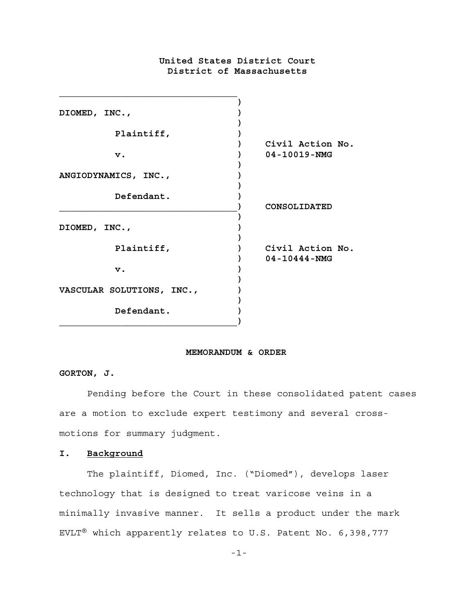# **United States District Court District of Massachusetts**

| DIOMED, INC.,             |                                        |
|---------------------------|----------------------------------------|
| Plaintiff,                |                                        |
| $\mathbf v$ .             | Civil Action No.<br>$04 - 10019 - NMG$ |
| ANGIODYNAMICS, INC.,      |                                        |
| Defendant.                | CONSOLIDATED                           |
| DIOMED, INC.,             |                                        |
| Plaintiff,                | Civil Action No.<br>$04 - 10444 - NMG$ |
| $\mathbf v$ .             |                                        |
| VASCULAR SOLUTIONS, INC., |                                        |
| Defendant.                |                                        |

### **MEMORANDUM & ORDER**

# **GORTON, J.**

Pending before the Court in these consolidated patent cases are a motion to exclude expert testimony and several crossmotions for summary judgment.

# **I. Background**

The plaintiff, Diomed, Inc. ("Diomed"), develops laser technology that is designed to treat varicose veins in a minimally invasive manner. It sells a product under the mark EVLT® which apparently relates to U.S. Patent No. 6,398,777

-1-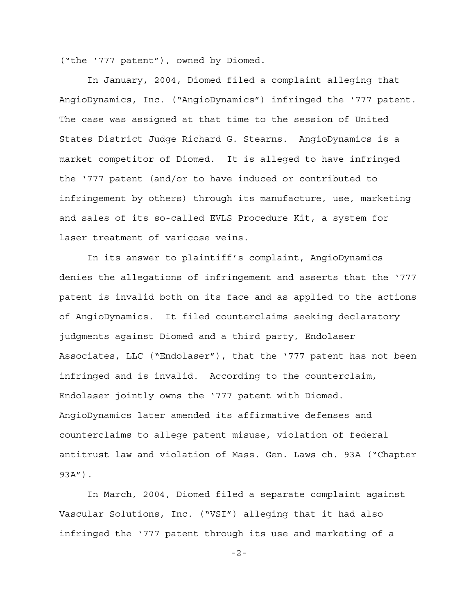("the '777 patent"), owned by Diomed.

In January, 2004, Diomed filed a complaint alleging that AngioDynamics, Inc. ("AngioDynamics") infringed the '777 patent. The case was assigned at that time to the session of United States District Judge Richard G. Stearns. AngioDynamics is a market competitor of Diomed. It is alleged to have infringed the '777 patent (and/or to have induced or contributed to infringement by others) through its manufacture, use, marketing and sales of its so-called EVLS Procedure Kit, a system for laser treatment of varicose veins.

In its answer to plaintiff's complaint, AngioDynamics denies the allegations of infringement and asserts that the '777 patent is invalid both on its face and as applied to the actions of AngioDynamics. It filed counterclaims seeking declaratory judgments against Diomed and a third party, Endolaser Associates, LLC ("Endolaser"), that the '777 patent has not been infringed and is invalid. According to the counterclaim, Endolaser jointly owns the '777 patent with Diomed. AngioDynamics later amended its affirmative defenses and counterclaims to allege patent misuse, violation of federal antitrust law and violation of Mass. Gen. Laws ch. 93A ("Chapter 93A").

In March, 2004, Diomed filed a separate complaint against Vascular Solutions, Inc. ("VSI") alleging that it had also infringed the '777 patent through its use and marketing of a

-2-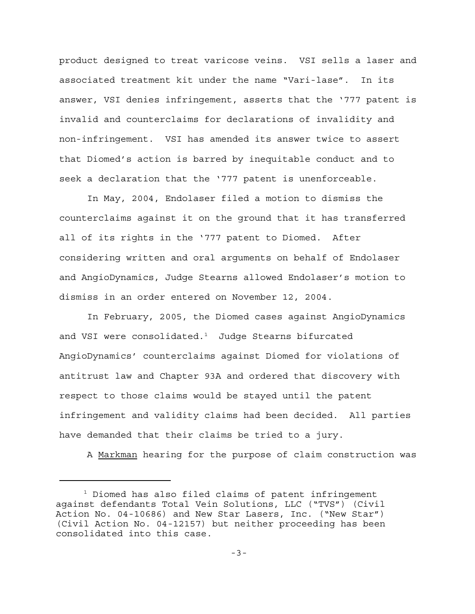product designed to treat varicose veins. VSI sells a laser and associated treatment kit under the name "Vari-lase". In its answer, VSI denies infringement, asserts that the '777 patent is invalid and counterclaims for declarations of invalidity and non-infringement. VSI has amended its answer twice to assert that Diomed's action is barred by inequitable conduct and to seek a declaration that the '777 patent is unenforceable.

In May, 2004, Endolaser filed a motion to dismiss the counterclaims against it on the ground that it has transferred all of its rights in the '777 patent to Diomed. After considering written and oral arguments on behalf of Endolaser and AngioDynamics, Judge Stearns allowed Endolaser's motion to dismiss in an order entered on November 12, 2004.

In February, 2005, the Diomed cases against AngioDynamics and VSI were consolidated. $1$  Judge Stearns bifurcated AngioDynamics' counterclaims against Diomed for violations of antitrust law and Chapter 93A and ordered that discovery with respect to those claims would be stayed until the patent infringement and validity claims had been decided. All parties have demanded that their claims be tried to a jury.

A Markman hearing for the purpose of claim construction was

<sup>1</sup> Diomed has also filed claims of patent infringement against defendants Total Vein Solutions, LLC ("TVS") (Civil Action No. 04-10686) and New Star Lasers, Inc. ("New Star") (Civil Action No. 04-12157) but neither proceeding has been consolidated into this case.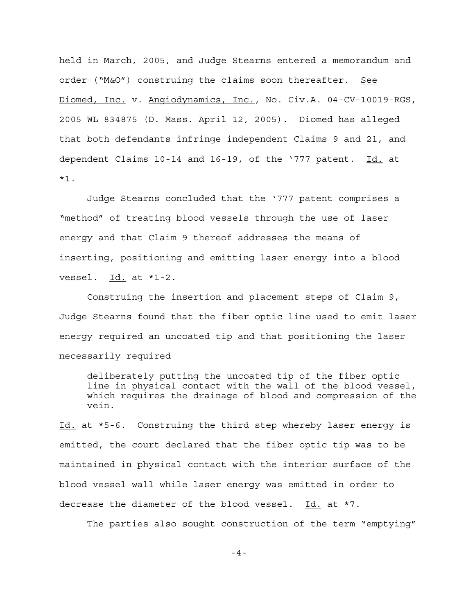held in March, 2005, and Judge Stearns entered a memorandum and order ("M&O") construing the claims soon thereafter. See Diomed, Inc. v. Angiodynamics, Inc., No. Civ.A. 04-CV-10019-RGS, 2005 WL 834875 (D. Mass. April 12, 2005). Diomed has alleged that both defendants infringe independent Claims 9 and 21, and dependent Claims 10-14 and 16-19, of the '777 patent. Id. at \*1.

Judge Stearns concluded that the '777 patent comprises a "method" of treating blood vessels through the use of laser energy and that Claim 9 thereof addresses the means of inserting, positioning and emitting laser energy into a blood vessel.  $Id.$  at  $*1-2$ .

Construing the insertion and placement steps of Claim 9, Judge Stearns found that the fiber optic line used to emit laser energy required an uncoated tip and that positioning the laser necessarily required

deliberately putting the uncoated tip of the fiber optic line in physical contact with the wall of the blood vessel, which requires the drainage of blood and compression of the vein.

Id. at \*5-6. Construing the third step whereby laser energy is emitted, the court declared that the fiber optic tip was to be maintained in physical contact with the interior surface of the blood vessel wall while laser energy was emitted in order to decrease the diameter of the blood vessel. Id. at \*7.

The parties also sought construction of the term "emptying"

-4-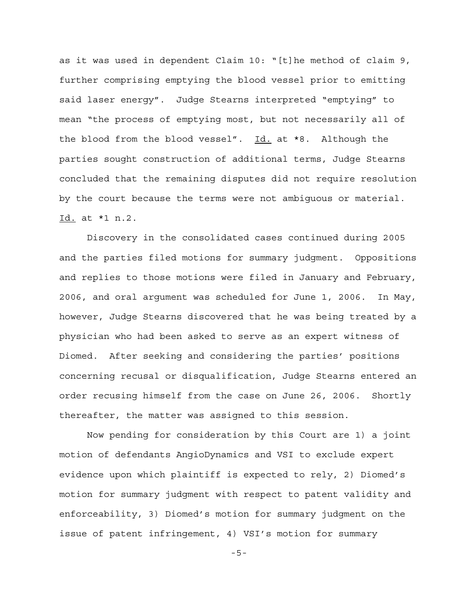as it was used in dependent Claim 10: "[t]he method of claim 9, further comprising emptying the blood vessel prior to emitting said laser energy". Judge Stearns interpreted "emptying" to mean "the process of emptying most, but not necessarily all of the blood from the blood vessel". Id. at \*8. Although the parties sought construction of additional terms, Judge Stearns concluded that the remaining disputes did not require resolution by the court because the terms were not ambiguous or material. Id. at \*1 n.2.

Discovery in the consolidated cases continued during 2005 and the parties filed motions for summary judgment. Oppositions and replies to those motions were filed in January and February, 2006, and oral argument was scheduled for June 1, 2006. In May, however, Judge Stearns discovered that he was being treated by a physician who had been asked to serve as an expert witness of Diomed. After seeking and considering the parties' positions concerning recusal or disqualification, Judge Stearns entered an order recusing himself from the case on June 26, 2006. Shortly thereafter, the matter was assigned to this session.

Now pending for consideration by this Court are 1) a joint motion of defendants AngioDynamics and VSI to exclude expert evidence upon which plaintiff is expected to rely, 2) Diomed's motion for summary judgment with respect to patent validity and enforceability, 3) Diomed's motion for summary judgment on the issue of patent infringement, 4) VSI's motion for summary

-5-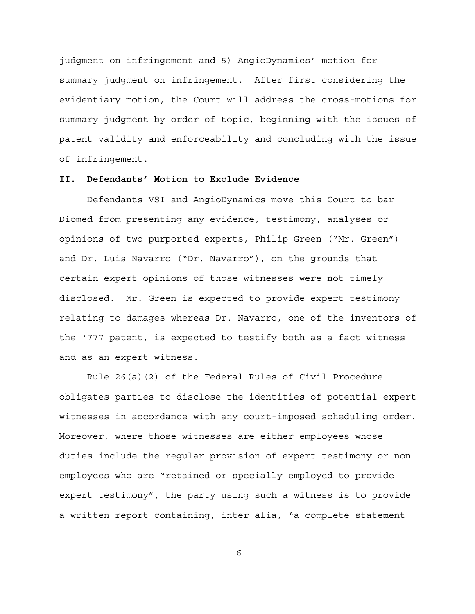judgment on infringement and 5) AngioDynamics' motion for summary judgment on infringement. After first considering the evidentiary motion, the Court will address the cross-motions for summary judgment by order of topic, beginning with the issues of patent validity and enforceability and concluding with the issue of infringement.

## **II. Defendants' Motion to Exclude Evidence**

Defendants VSI and AngioDynamics move this Court to bar Diomed from presenting any evidence, testimony, analyses or opinions of two purported experts, Philip Green ("Mr. Green") and Dr. Luis Navarro ("Dr. Navarro"), on the grounds that certain expert opinions of those witnesses were not timely disclosed. Mr. Green is expected to provide expert testimony relating to damages whereas Dr. Navarro, one of the inventors of the '777 patent, is expected to testify both as a fact witness and as an expert witness.

Rule 26(a)(2) of the Federal Rules of Civil Procedure obligates parties to disclose the identities of potential expert witnesses in accordance with any court-imposed scheduling order. Moreover, where those witnesses are either employees whose duties include the regular provision of expert testimony or nonemployees who are "retained or specially employed to provide expert testimony", the party using such a witness is to provide a written report containing, inter alia, "a complete statement

-6-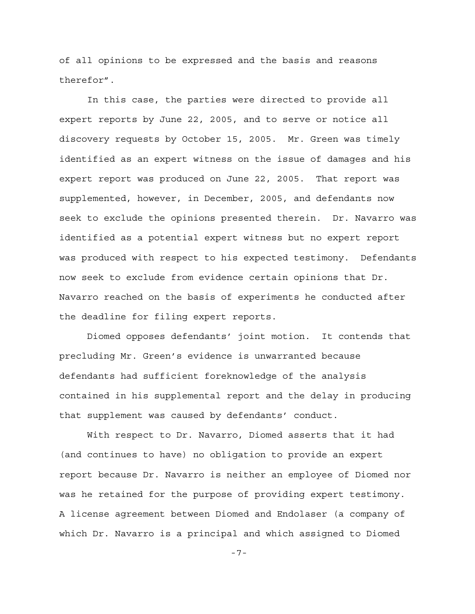of all opinions to be expressed and the basis and reasons therefor".

In this case, the parties were directed to provide all expert reports by June 22, 2005, and to serve or notice all discovery requests by October 15, 2005. Mr. Green was timely identified as an expert witness on the issue of damages and his expert report was produced on June 22, 2005. That report was supplemented, however, in December, 2005, and defendants now seek to exclude the opinions presented therein. Dr. Navarro was identified as a potential expert witness but no expert report was produced with respect to his expected testimony. Defendants now seek to exclude from evidence certain opinions that Dr. Navarro reached on the basis of experiments he conducted after the deadline for filing expert reports.

Diomed opposes defendants' joint motion. It contends that precluding Mr. Green's evidence is unwarranted because defendants had sufficient foreknowledge of the analysis contained in his supplemental report and the delay in producing that supplement was caused by defendants' conduct.

With respect to Dr. Navarro, Diomed asserts that it had (and continues to have) no obligation to provide an expert report because Dr. Navarro is neither an employee of Diomed nor was he retained for the purpose of providing expert testimony. A license agreement between Diomed and Endolaser (a company of which Dr. Navarro is a principal and which assigned to Diomed

-7-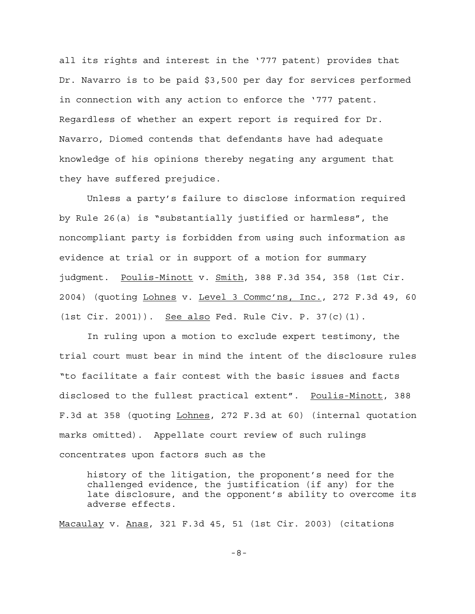all its rights and interest in the '777 patent) provides that Dr. Navarro is to be paid \$3,500 per day for services performed in connection with any action to enforce the '777 patent. Regardless of whether an expert report is required for Dr. Navarro, Diomed contends that defendants have had adequate knowledge of his opinions thereby negating any argument that they have suffered prejudice.

Unless a party's failure to disclose information required by Rule 26(a) is "substantially justified or harmless", the noncompliant party is forbidden from using such information as evidence at trial or in support of a motion for summary judgment. Poulis-Minott v. Smith, 388 F.3d 354, 358 (1st Cir. 2004) (quoting Lohnes v. Level 3 Commc'ns, Inc., 272 F.3d 49, 60 (1st Cir. 2001)). See also Fed. Rule Civ. P. 37(c)(1).

In ruling upon a motion to exclude expert testimony, the trial court must bear in mind the intent of the disclosure rules "to facilitate a fair contest with the basic issues and facts disclosed to the fullest practical extent". Poulis-Minott, 388 F.3d at 358 (quoting Lohnes, 272 F.3d at 60) (internal quotation marks omitted). Appellate court review of such rulings concentrates upon factors such as the

history of the litigation, the proponent's need for the challenged evidence, the justification (if any) for the late disclosure, and the opponent's ability to overcome its adverse effects.

Macaulay v. Anas, 321 F.3d 45, 51 (1st Cir. 2003) (citations

-8-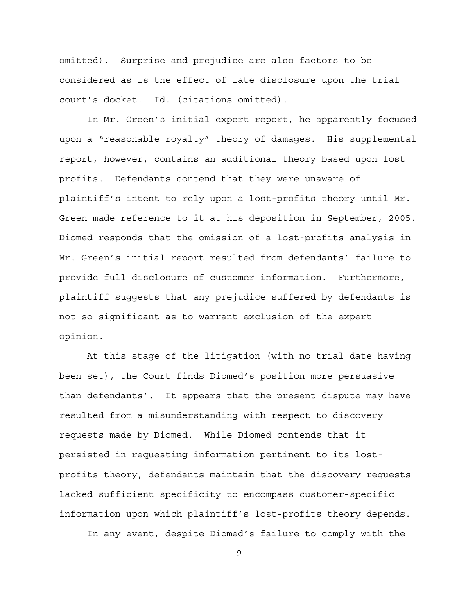omitted). Surprise and prejudice are also factors to be considered as is the effect of late disclosure upon the trial court's docket. Id. (citations omitted).

In Mr. Green's initial expert report, he apparently focused upon a "reasonable royalty" theory of damages. His supplemental report, however, contains an additional theory based upon lost profits. Defendants contend that they were unaware of plaintiff's intent to rely upon a lost-profits theory until Mr. Green made reference to it at his deposition in September, 2005. Diomed responds that the omission of a lost-profits analysis in Mr. Green's initial report resulted from defendants' failure to provide full disclosure of customer information. Furthermore, plaintiff suggests that any prejudice suffered by defendants is not so significant as to warrant exclusion of the expert opinion.

At this stage of the litigation (with no trial date having been set), the Court finds Diomed's position more persuasive than defendants'. It appears that the present dispute may have resulted from a misunderstanding with respect to discovery requests made by Diomed. While Diomed contends that it persisted in requesting information pertinent to its lostprofits theory, defendants maintain that the discovery requests lacked sufficient specificity to encompass customer-specific information upon which plaintiff's lost-profits theory depends.

In any event, despite Diomed's failure to comply with the

-9-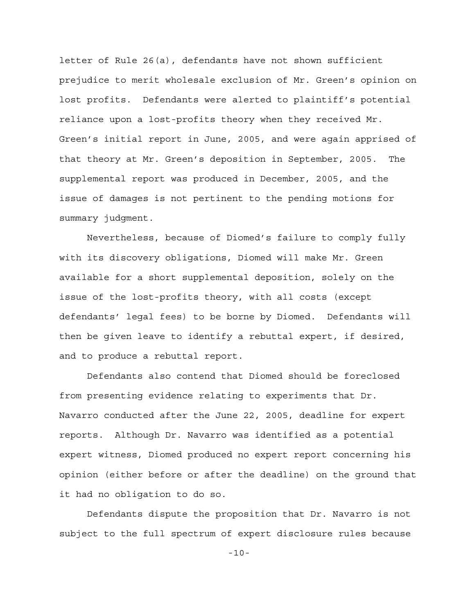letter of Rule 26(a), defendants have not shown sufficient prejudice to merit wholesale exclusion of Mr. Green's opinion on lost profits. Defendants were alerted to plaintiff's potential reliance upon a lost-profits theory when they received Mr. Green's initial report in June, 2005, and were again apprised of that theory at Mr. Green's deposition in September, 2005. The supplemental report was produced in December, 2005, and the issue of damages is not pertinent to the pending motions for summary judgment.

Nevertheless, because of Diomed's failure to comply fully with its discovery obligations, Diomed will make Mr. Green available for a short supplemental deposition, solely on the issue of the lost-profits theory, with all costs (except defendants' legal fees) to be borne by Diomed. Defendants will then be given leave to identify a rebuttal expert, if desired, and to produce a rebuttal report.

Defendants also contend that Diomed should be foreclosed from presenting evidence relating to experiments that Dr. Navarro conducted after the June 22, 2005, deadline for expert reports. Although Dr. Navarro was identified as a potential expert witness, Diomed produced no expert report concerning his opinion (either before or after the deadline) on the ground that it had no obligation to do so.

Defendants dispute the proposition that Dr. Navarro is not subject to the full spectrum of expert disclosure rules because

-10-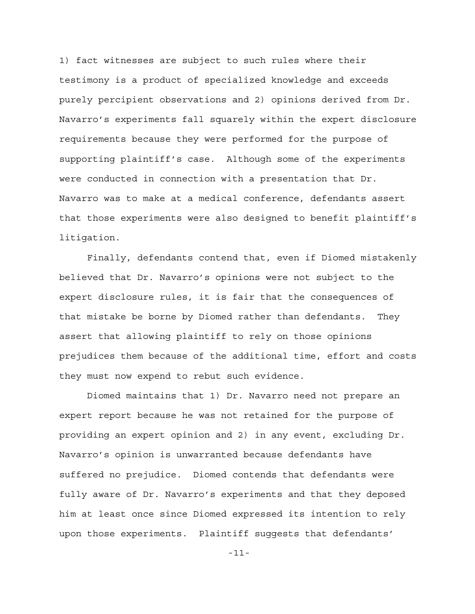1) fact witnesses are subject to such rules where their testimony is a product of specialized knowledge and exceeds purely percipient observations and 2) opinions derived from Dr. Navarro's experiments fall squarely within the expert disclosure requirements because they were performed for the purpose of supporting plaintiff's case. Although some of the experiments were conducted in connection with a presentation that Dr. Navarro was to make at a medical conference, defendants assert that those experiments were also designed to benefit plaintiff's litigation.

Finally, defendants contend that, even if Diomed mistakenly believed that Dr. Navarro's opinions were not subject to the expert disclosure rules, it is fair that the consequences of that mistake be borne by Diomed rather than defendants. They assert that allowing plaintiff to rely on those opinions prejudices them because of the additional time, effort and costs they must now expend to rebut such evidence.

Diomed maintains that 1) Dr. Navarro need not prepare an expert report because he was not retained for the purpose of providing an expert opinion and 2) in any event, excluding Dr. Navarro's opinion is unwarranted because defendants have suffered no prejudice. Diomed contends that defendants were fully aware of Dr. Navarro's experiments and that they deposed him at least once since Diomed expressed its intention to rely upon those experiments. Plaintiff suggests that defendants'

-11-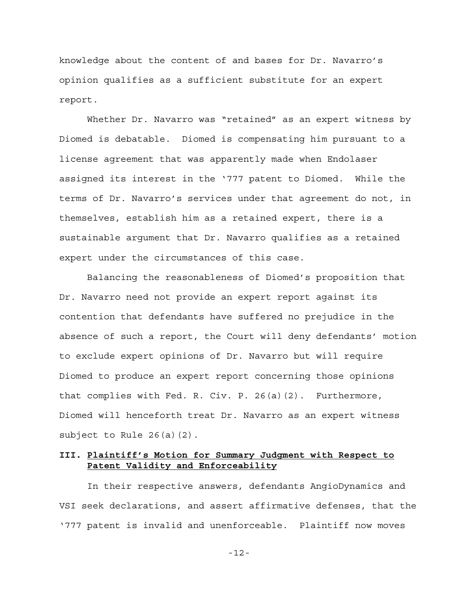knowledge about the content of and bases for Dr. Navarro's opinion qualifies as a sufficient substitute for an expert report.

Whether Dr. Navarro was "retained" as an expert witness by Diomed is debatable. Diomed is compensating him pursuant to a license agreement that was apparently made when Endolaser assigned its interest in the '777 patent to Diomed. While the terms of Dr. Navarro's services under that agreement do not, in themselves, establish him as a retained expert, there is a sustainable argument that Dr. Navarro qualifies as a retained expert under the circumstances of this case.

Balancing the reasonableness of Diomed's proposition that Dr. Navarro need not provide an expert report against its contention that defendants have suffered no prejudice in the absence of such a report, the Court will deny defendants' motion to exclude expert opinions of Dr. Navarro but will require Diomed to produce an expert report concerning those opinions that complies with Fed. R. Civ. P. 26(a)(2). Furthermore, Diomed will henceforth treat Dr. Navarro as an expert witness subject to Rule 26(a)(2).

# **III. Plaintiff's Motion for Summary Judgment with Respect to Patent Validity and Enforceability**

In their respective answers, defendants AngioDynamics and VSI seek declarations, and assert affirmative defenses, that the '777 patent is invalid and unenforceable. Plaintiff now moves

-12-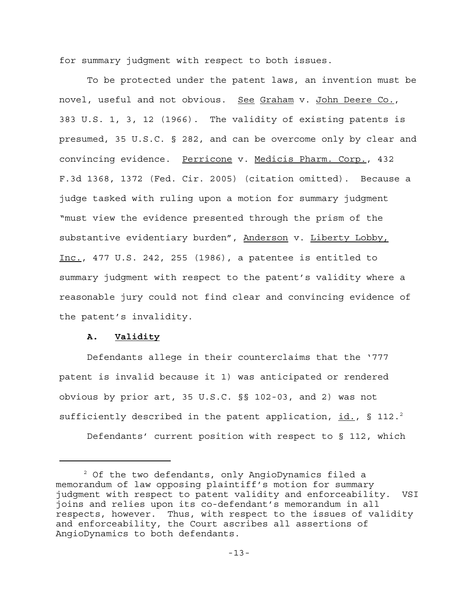for summary judgment with respect to both issues.

To be protected under the patent laws, an invention must be novel, useful and not obvious. See Graham v. John Deere Co., 383 U.S. 1, 3, 12 (1966). The validity of existing patents is presumed, 35 U.S.C. § 282, and can be overcome only by clear and convincing evidence. Perricone v. Medicis Pharm. Corp., 432 F.3d 1368, 1372 (Fed. Cir. 2005) (citation omitted). Because a judge tasked with ruling upon a motion for summary judgment "must view the evidence presented through the prism of the substantive evidentiary burden", Anderson v. Liberty Lobby, Inc., 477 U.S. 242, 255 (1986), a patentee is entitled to summary judgment with respect to the patent's validity where a reasonable jury could not find clear and convincing evidence of the patent's invalidity.

## **A. Validity**

Defendants allege in their counterclaims that the '777 patent is invalid because it 1) was anticipated or rendered obvious by prior art, 35 U.S.C. §§ 102-03, and 2) was not sufficiently described in the patent application,  $id.$ , § 112.<sup>2</sup>

Defendants' current position with respect to § 112, which

<sup>2</sup> Of the two defendants, only AngioDynamics filed a memorandum of law opposing plaintiff's motion for summary judgment with respect to patent validity and enforceability. VSI joins and relies upon its co-defendant's memorandum in all respects, however. Thus, with respect to the issues of validity and enforceability, the Court ascribes all assertions of AngioDynamics to both defendants.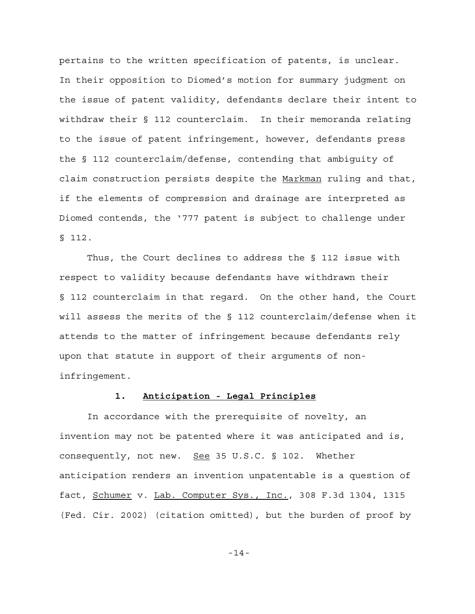pertains to the written specification of patents, is unclear. In their opposition to Diomed's motion for summary judgment on the issue of patent validity, defendants declare their intent to withdraw their § 112 counterclaim. In their memoranda relating to the issue of patent infringement, however, defendants press the § 112 counterclaim/defense, contending that ambiguity of claim construction persists despite the Markman ruling and that, if the elements of compression and drainage are interpreted as Diomed contends, the '777 patent is subject to challenge under § 112.

Thus, the Court declines to address the § 112 issue with respect to validity because defendants have withdrawn their § 112 counterclaim in that regard. On the other hand, the Court will assess the merits of the § 112 counterclaim/defense when it attends to the matter of infringement because defendants rely upon that statute in support of their arguments of noninfringement.

# **1. Anticipation - Legal Principles**

In accordance with the prerequisite of novelty, an invention may not be patented where it was anticipated and is, consequently, not new. See 35 U.S.C. § 102. Whether anticipation renders an invention unpatentable is a question of fact, Schumer v. Lab. Computer Sys., Inc., 308 F.3d 1304, 1315 (Fed. Cir. 2002) (citation omitted), but the burden of proof by

-14-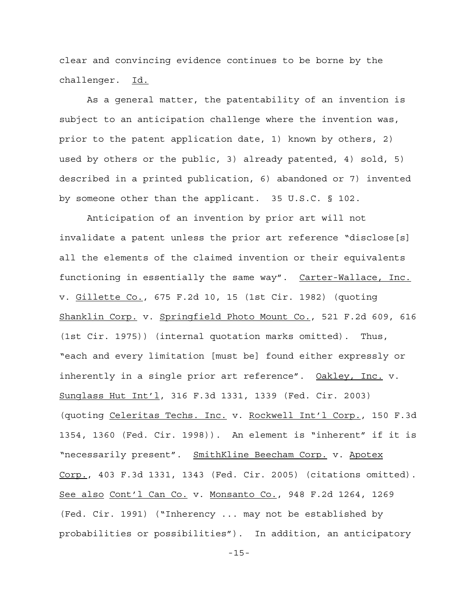clear and convincing evidence continues to be borne by the challenger. Id.

As a general matter, the patentability of an invention is subject to an anticipation challenge where the invention was, prior to the patent application date, 1) known by others, 2) used by others or the public, 3) already patented, 4) sold, 5) described in a printed publication, 6) abandoned or 7) invented by someone other than the applicant. 35 U.S.C. § 102.

Anticipation of an invention by prior art will not invalidate a patent unless the prior art reference "disclose[s] all the elements of the claimed invention or their equivalents functioning in essentially the same way". Carter-Wallace, Inc. v. Gillette Co., 675 F.2d 10, 15 (1st Cir. 1982) (quoting Shanklin Corp. v. Springfield Photo Mount Co., 521 F.2d 609, 616 (1st Cir. 1975)) (internal quotation marks omitted). Thus, "each and every limitation [must be] found either expressly or inherently in a single prior art reference". Oakley, Inc. v. Sunglass Hut Int'l, 316 F.3d 1331, 1339 (Fed. Cir. 2003) (quoting Celeritas Techs. Inc. v. Rockwell Int'l Corp., 150 F.3d 1354, 1360 (Fed. Cir. 1998)). An element is "inherent" if it is "necessarily present". SmithKline Beecham Corp. v. Apotex Corp., 403 F.3d 1331, 1343 (Fed. Cir. 2005) (citations omitted). See also Cont'l Can Co. v. Monsanto Co., 948 F.2d 1264, 1269 (Fed. Cir. 1991) ("Inherency ... may not be established by probabilities or possibilities"). In addition, an anticipatory

-15-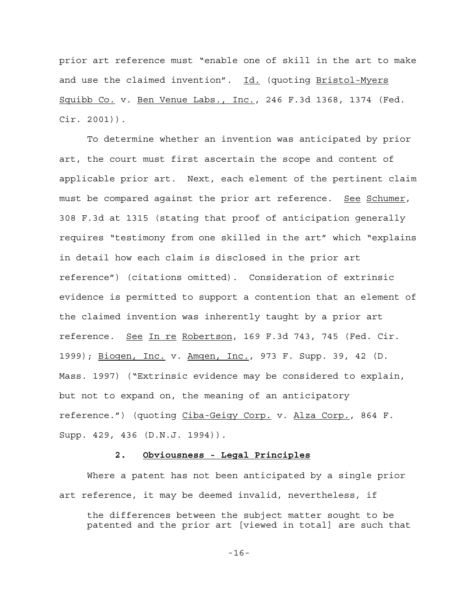prior art reference must "enable one of skill in the art to make and use the claimed invention". Id. (quoting Bristol-Myers Squibb Co. v. Ben Venue Labs., Inc., 246 F.3d 1368, 1374 (Fed. Cir. 2001)).

To determine whether an invention was anticipated by prior art, the court must first ascertain the scope and content of applicable prior art. Next, each element of the pertinent claim must be compared against the prior art reference. See Schumer, 308 F.3d at 1315 (stating that proof of anticipation generally requires "testimony from one skilled in the art" which "explains in detail how each claim is disclosed in the prior art reference") (citations omitted). Consideration of extrinsic evidence is permitted to support a contention that an element of the claimed invention was inherently taught by a prior art reference. See In re Robertson, 169 F.3d 743, 745 (Fed. Cir. 1999); Biogen, Inc. v. Amgen, Inc., 973 F. Supp. 39, 42 (D. Mass. 1997) ("Extrinsic evidence may be considered to explain, but not to expand on, the meaning of an anticipatory reference.") (quoting Ciba-Geigy Corp. v. Alza Corp., 864 F. Supp. 429, 436 (D.N.J. 1994)).

## **2. Obviousness - Legal Principles**

Where a patent has not been anticipated by a single prior art reference, it may be deemed invalid, nevertheless, if

the differences between the subject matter sought to be patented and the prior art [viewed in total] are such that

-16-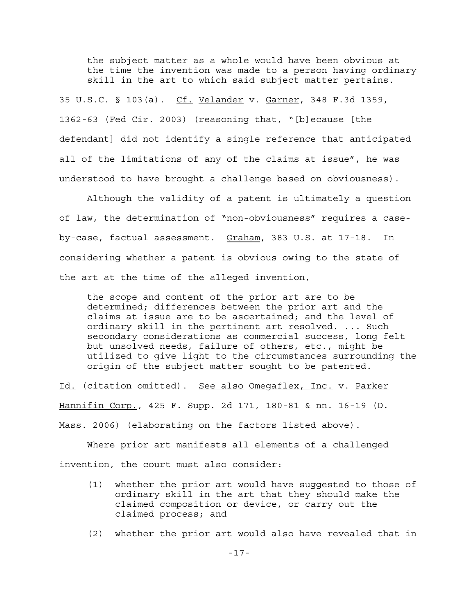the subject matter as a whole would have been obvious at the time the invention was made to a person having ordinary skill in the art to which said subject matter pertains.

35 U.S.C. § 103(a). Cf. Velander v. Garner, 348 F.3d 1359, 1362-63 (Fed Cir. 2003) (reasoning that, "[b]ecause [the defendant] did not identify a single reference that anticipated all of the limitations of any of the claims at issue", he was understood to have brought a challenge based on obviousness).

Although the validity of a patent is ultimately a question of law, the determination of "non-obviousness" requires a caseby-case, factual assessment. Graham, 383 U.S. at 17-18. In considering whether a patent is obvious owing to the state of the art at the time of the alleged invention,

the scope and content of the prior art are to be determined; differences between the prior art and the claims at issue are to be ascertained; and the level of ordinary skill in the pertinent art resolved. ... Such secondary considerations as commercial success, long felt but unsolved needs, failure of others, etc., might be utilized to give light to the circumstances surrounding the origin of the subject matter sought to be patented.

Id. (citation omitted). See also Omegaflex, Inc. v. Parker Hannifin Corp., 425 F. Supp. 2d 171, 180-81 & nn. 16-19 (D. Mass. 2006) (elaborating on the factors listed above).

Where prior art manifests all elements of a challenged invention, the court must also consider:

- (1) whether the prior art would have suggested to those of ordinary skill in the art that they should make the claimed composition or device, or carry out the claimed process; and
- (2) whether the prior art would also have revealed that in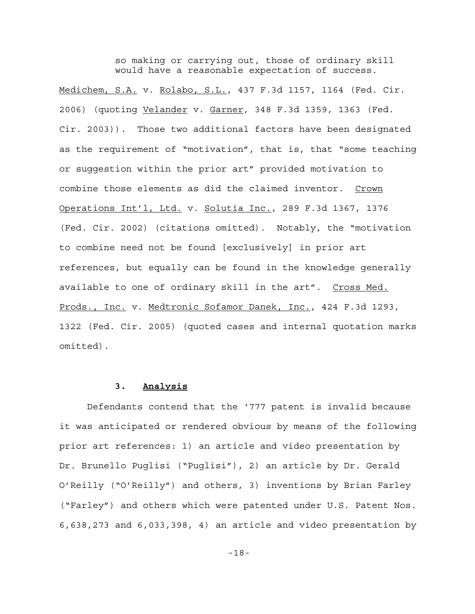so making or carrying out, those of ordinary skill would have a reasonable expectation of success.

Medichem, S.A. v. Rolabo, S.L., 437 F.3d 1157, 1164 (Fed. Cir. 2006) (quoting Velander v. Garner, 348 F.3d 1359, 1363 (Fed. Cir. 2003)). Those two additional factors have been designated as the requirement of "motivation", that is, that "some teaching or suggestion within the prior art" provided motivation to combine those elements as did the claimed inventor. Crown Operations Int'l, Ltd. v. Solutia Inc., 289 F.3d 1367, 1376 (Fed. Cir. 2002) (citations omitted). Notably, the "motivation to combine need not be found [exclusively] in prior art references, but equally can be found in the knowledge generally available to one of ordinary skill in the art". Cross Med. Prods., Inc. v. Medtronic Sofamor Danek, Inc., 424 F.3d 1293, 1322 (Fed. Cir. 2005) (quoted cases and internal quotation marks omitted).

## **3. Analysis**

Defendants contend that the '777 patent is invalid because it was anticipated or rendered obvious by means of the following prior art references: 1) an article and video presentation by Dr. Brunello Puglisi ("Puglisi"), 2) an article by Dr. Gerald O'Reilly ("O'Reilly") and others, 3) inventions by Brian Farley ("Farley") and others which were patented under U.S. Patent Nos. 6,638,273 and 6,033,398, 4) an article and video presentation by

-18-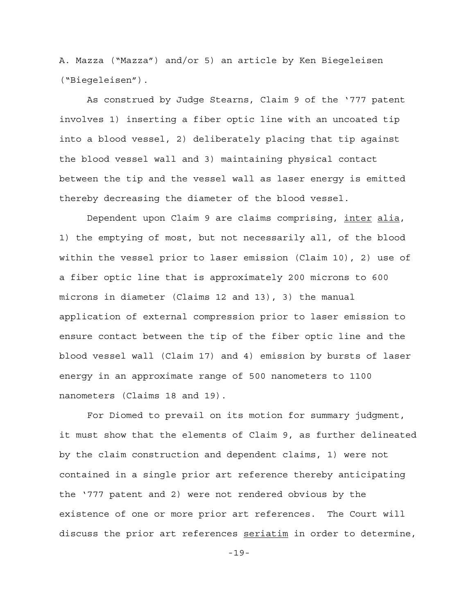A. Mazza ("Mazza") and/or 5) an article by Ken Biegeleisen ("Biegeleisen").

As construed by Judge Stearns, Claim 9 of the '777 patent involves 1) inserting a fiber optic line with an uncoated tip into a blood vessel, 2) deliberately placing that tip against the blood vessel wall and 3) maintaining physical contact between the tip and the vessel wall as laser energy is emitted thereby decreasing the diameter of the blood vessel.

Dependent upon Claim 9 are claims comprising, inter alia, 1) the emptying of most, but not necessarily all, of the blood within the vessel prior to laser emission (Claim 10), 2) use of a fiber optic line that is approximately 200 microns to 600 microns in diameter (Claims 12 and 13), 3) the manual application of external compression prior to laser emission to ensure contact between the tip of the fiber optic line and the blood vessel wall (Claim 17) and 4) emission by bursts of laser energy in an approximate range of 500 nanometers to 1100 nanometers (Claims 18 and 19).

For Diomed to prevail on its motion for summary judgment, it must show that the elements of Claim 9, as further delineated by the claim construction and dependent claims, 1) were not contained in a single prior art reference thereby anticipating the '777 patent and 2) were not rendered obvious by the existence of one or more prior art references. The Court will discuss the prior art references seriatim in order to determine,

-19-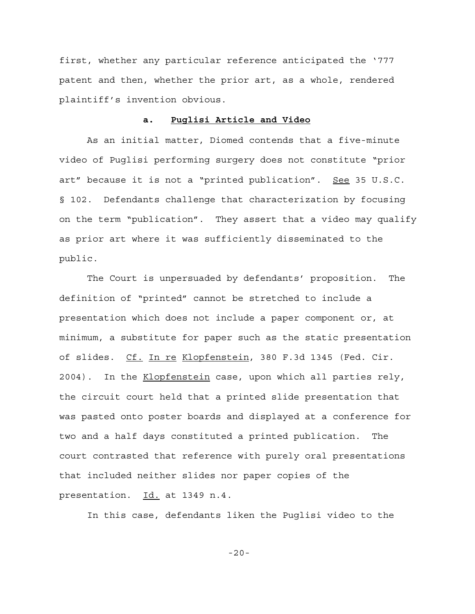first, whether any particular reference anticipated the '777 patent and then, whether the prior art, as a whole, rendered plaintiff's invention obvious.

## **a. Puglisi Article and Video**

As an initial matter, Diomed contends that a five-minute video of Puglisi performing surgery does not constitute "prior art" because it is not a "printed publication". See 35 U.S.C. § 102. Defendants challenge that characterization by focusing on the term "publication". They assert that a video may qualify as prior art where it was sufficiently disseminated to the public.

The Court is unpersuaded by defendants' proposition. The definition of "printed" cannot be stretched to include a presentation which does not include a paper component or, at minimum, a substitute for paper such as the static presentation of slides. Cf. In re Klopfenstein, 380 F.3d 1345 (Fed. Cir. 2004). In the Klopfenstein case, upon which all parties rely, the circuit court held that a printed slide presentation that was pasted onto poster boards and displayed at a conference for two and a half days constituted a printed publication. The court contrasted that reference with purely oral presentations that included neither slides nor paper copies of the presentation. Id. at 1349 n.4.

In this case, defendants liken the Puglisi video to the

-20-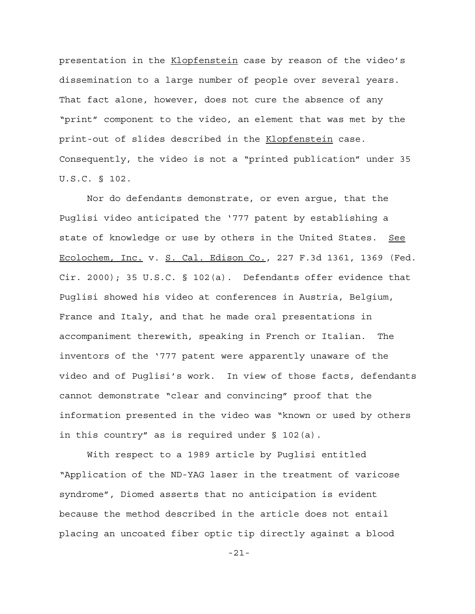presentation in the Klopfenstein case by reason of the video's dissemination to a large number of people over several years. That fact alone, however, does not cure the absence of any "print" component to the video, an element that was met by the print-out of slides described in the Klopfenstein case. Consequently, the video is not a "printed publication" under 35 U.S.C. § 102.

Nor do defendants demonstrate, or even argue, that the Puglisi video anticipated the '777 patent by establishing a state of knowledge or use by others in the United States. See Ecolochem, Inc. v. S. Cal. Edison Co., 227 F.3d 1361, 1369 (Fed. Cir. 2000); 35 U.S.C. § 102(a). Defendants offer evidence that Puglisi showed his video at conferences in Austria, Belgium, France and Italy, and that he made oral presentations in accompaniment therewith, speaking in French or Italian. The inventors of the '777 patent were apparently unaware of the video and of Puglisi's work. In view of those facts, defendants cannot demonstrate "clear and convincing" proof that the information presented in the video was "known or used by others in this country" as is required under § 102(a).

With respect to a 1989 article by Puglisi entitled "Application of the ND-YAG laser in the treatment of varicose syndrome", Diomed asserts that no anticipation is evident because the method described in the article does not entail placing an uncoated fiber optic tip directly against a blood

-21-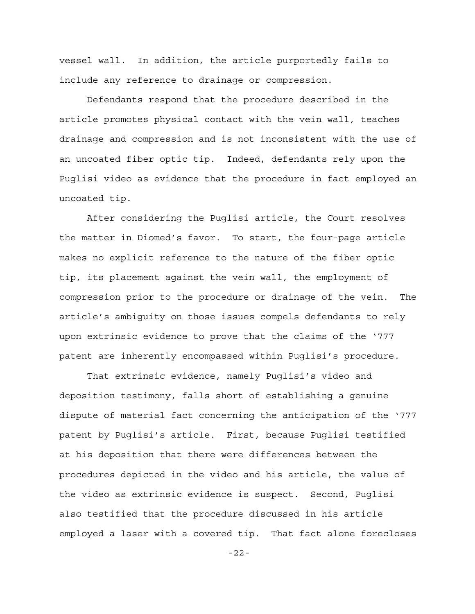vessel wall. In addition, the article purportedly fails to include any reference to drainage or compression.

Defendants respond that the procedure described in the article promotes physical contact with the vein wall, teaches drainage and compression and is not inconsistent with the use of an uncoated fiber optic tip. Indeed, defendants rely upon the Puglisi video as evidence that the procedure in fact employed an uncoated tip.

After considering the Puglisi article, the Court resolves the matter in Diomed's favor. To start, the four-page article makes no explicit reference to the nature of the fiber optic tip, its placement against the vein wall, the employment of compression prior to the procedure or drainage of the vein. The article's ambiguity on those issues compels defendants to rely upon extrinsic evidence to prove that the claims of the '777 patent are inherently encompassed within Puglisi's procedure.

That extrinsic evidence, namely Puglisi's video and deposition testimony, falls short of establishing a genuine dispute of material fact concerning the anticipation of the '777 patent by Puglisi's article. First, because Puglisi testified at his deposition that there were differences between the procedures depicted in the video and his article, the value of the video as extrinsic evidence is suspect. Second, Puglisi also testified that the procedure discussed in his article employed a laser with a covered tip. That fact alone forecloses

-22-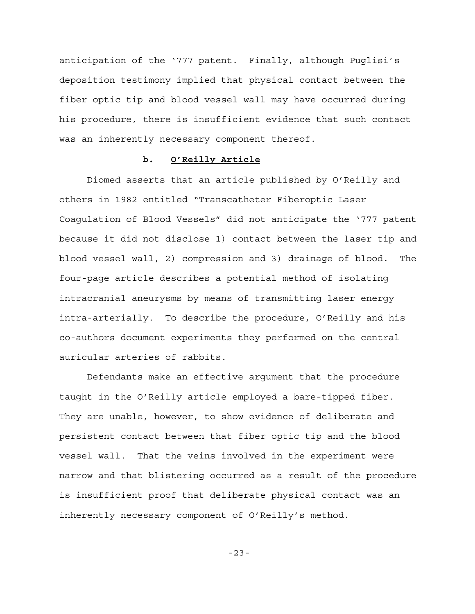anticipation of the '777 patent. Finally, although Puglisi's deposition testimony implied that physical contact between the fiber optic tip and blood vessel wall may have occurred during his procedure, there is insufficient evidence that such contact was an inherently necessary component thereof.

### **b. O'Reilly Article**

Diomed asserts that an article published by O'Reilly and others in 1982 entitled "Transcatheter Fiberoptic Laser Coagulation of Blood Vessels" did not anticipate the '777 patent because it did not disclose 1) contact between the laser tip and blood vessel wall, 2) compression and 3) drainage of blood. The four-page article describes a potential method of isolating intracranial aneurysms by means of transmitting laser energy intra-arterially. To describe the procedure, O'Reilly and his co-authors document experiments they performed on the central auricular arteries of rabbits.

Defendants make an effective argument that the procedure taught in the O'Reilly article employed a bare-tipped fiber. They are unable, however, to show evidence of deliberate and persistent contact between that fiber optic tip and the blood vessel wall. That the veins involved in the experiment were narrow and that blistering occurred as a result of the procedure is insufficient proof that deliberate physical contact was an inherently necessary component of O'Reilly's method.

-23-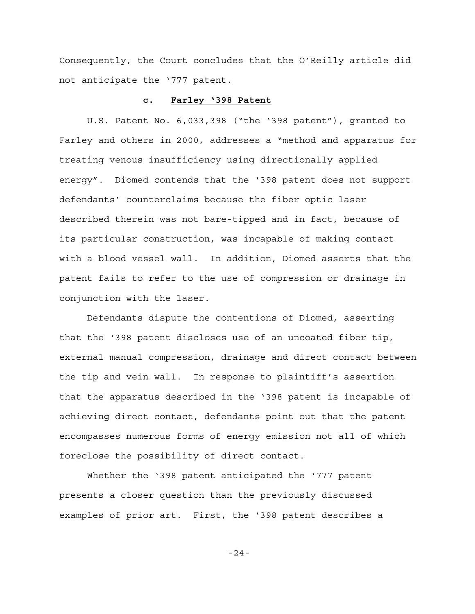Consequently, the Court concludes that the O'Reilly article did not anticipate the '777 patent.

#### **c. Farley '398 Patent**

U.S. Patent No. 6,033,398 ("the '398 patent"), granted to Farley and others in 2000, addresses a "method and apparatus for treating venous insufficiency using directionally applied energy". Diomed contends that the '398 patent does not support defendants' counterclaims because the fiber optic laser described therein was not bare-tipped and in fact, because of its particular construction, was incapable of making contact with a blood vessel wall. In addition, Diomed asserts that the patent fails to refer to the use of compression or drainage in conjunction with the laser.

Defendants dispute the contentions of Diomed, asserting that the '398 patent discloses use of an uncoated fiber tip, external manual compression, drainage and direct contact between the tip and vein wall. In response to plaintiff's assertion that the apparatus described in the '398 patent is incapable of achieving direct contact, defendants point out that the patent encompasses numerous forms of energy emission not all of which foreclose the possibility of direct contact.

Whether the '398 patent anticipated the '777 patent presents a closer question than the previously discussed examples of prior art. First, the '398 patent describes a

-24-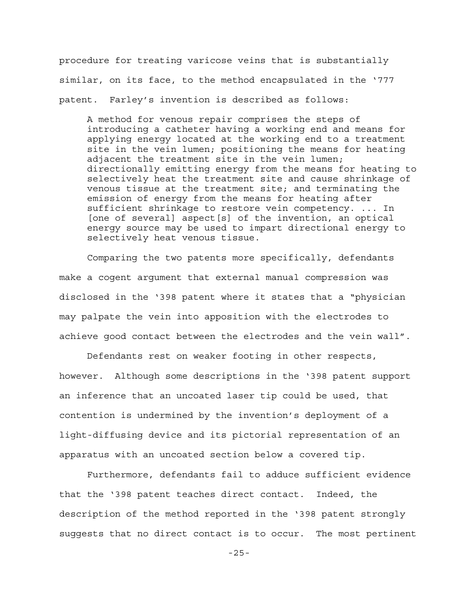procedure for treating varicose veins that is substantially similar, on its face, to the method encapsulated in the '777 patent. Farley's invention is described as follows:

A method for venous repair comprises the steps of introducing a catheter having a working end and means for applying energy located at the working end to a treatment site in the vein lumen; positioning the means for heating adjacent the treatment site in the vein lumen; directionally emitting energy from the means for heating to selectively heat the treatment site and cause shrinkage of venous tissue at the treatment site; and terminating the emission of energy from the means for heating after sufficient shrinkage to restore vein competency. ... In [one of several] aspect[s] of the invention, an optical energy source may be used to impart directional energy to selectively heat venous tissue.

Comparing the two patents more specifically, defendants make a cogent argument that external manual compression was disclosed in the '398 patent where it states that a "physician may palpate the vein into apposition with the electrodes to achieve good contact between the electrodes and the vein wall".

Defendants rest on weaker footing in other respects, however. Although some descriptions in the '398 patent support an inference that an uncoated laser tip could be used, that contention is undermined by the invention's deployment of a light-diffusing device and its pictorial representation of an apparatus with an uncoated section below a covered tip.

Furthermore, defendants fail to adduce sufficient evidence that the '398 patent teaches direct contact. Indeed, the description of the method reported in the '398 patent strongly suggests that no direct contact is to occur. The most pertinent

-25-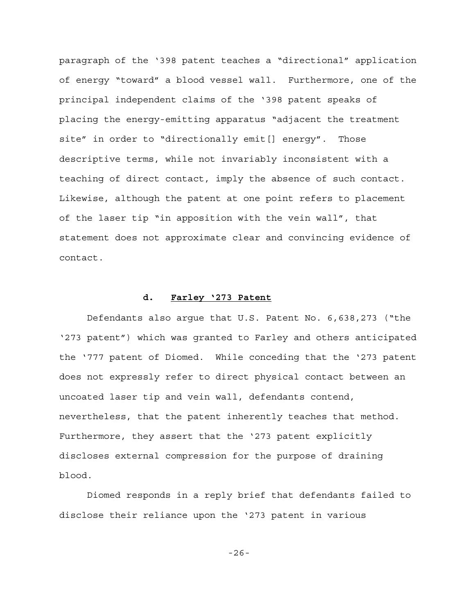paragraph of the '398 patent teaches a "directional" application of energy "toward" a blood vessel wall. Furthermore, one of the principal independent claims of the '398 patent speaks of placing the energy-emitting apparatus "adjacent the treatment site" in order to "directionally emit[] energy". Those descriptive terms, while not invariably inconsistent with a teaching of direct contact, imply the absence of such contact. Likewise, although the patent at one point refers to placement of the laser tip "in apposition with the vein wall", that statement does not approximate clear and convincing evidence of contact.

## **d. Farley '273 Patent**

Defendants also argue that U.S. Patent No. 6,638,273 ("the '273 patent") which was granted to Farley and others anticipated the '777 patent of Diomed. While conceding that the '273 patent does not expressly refer to direct physical contact between an uncoated laser tip and vein wall, defendants contend, nevertheless, that the patent inherently teaches that method. Furthermore, they assert that the '273 patent explicitly discloses external compression for the purpose of draining blood.

Diomed responds in a reply brief that defendants failed to disclose their reliance upon the '273 patent in various

-26-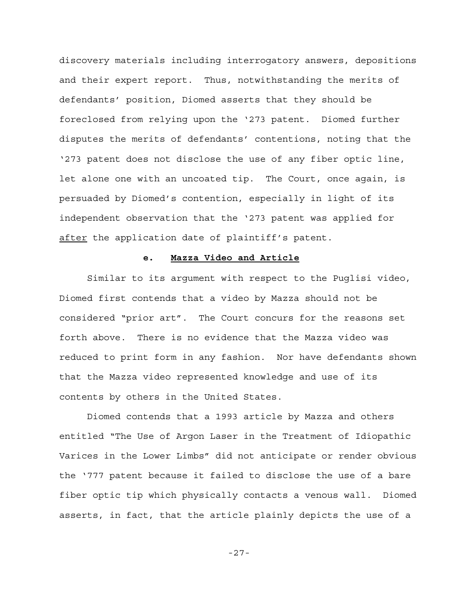discovery materials including interrogatory answers, depositions and their expert report. Thus, notwithstanding the merits of defendants' position, Diomed asserts that they should be foreclosed from relying upon the '273 patent. Diomed further disputes the merits of defendants' contentions, noting that the '273 patent does not disclose the use of any fiber optic line, let alone one with an uncoated tip. The Court, once again, is persuaded by Diomed's contention, especially in light of its independent observation that the '273 patent was applied for after the application date of plaintiff's patent.

#### **e. Mazza Video and Article**

Similar to its argument with respect to the Puglisi video, Diomed first contends that a video by Mazza should not be considered "prior art". The Court concurs for the reasons set forth above. There is no evidence that the Mazza video was reduced to print form in any fashion. Nor have defendants shown that the Mazza video represented knowledge and use of its contents by others in the United States.

Diomed contends that a 1993 article by Mazza and others entitled "The Use of Argon Laser in the Treatment of Idiopathic Varices in the Lower Limbs" did not anticipate or render obvious the '777 patent because it failed to disclose the use of a bare fiber optic tip which physically contacts a venous wall. Diomed asserts, in fact, that the article plainly depicts the use of a

-27-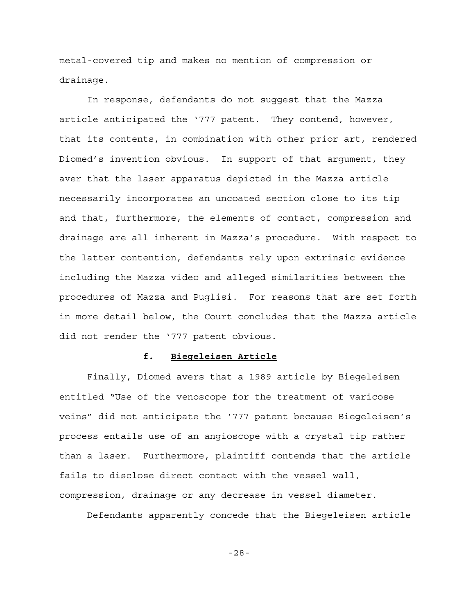metal-covered tip and makes no mention of compression or drainage.

In response, defendants do not suggest that the Mazza article anticipated the '777 patent. They contend, however, that its contents, in combination with other prior art, rendered Diomed's invention obvious. In support of that argument, they aver that the laser apparatus depicted in the Mazza article necessarily incorporates an uncoated section close to its tip and that, furthermore, the elements of contact, compression and drainage are all inherent in Mazza's procedure. With respect to the latter contention, defendants rely upon extrinsic evidence including the Mazza video and alleged similarities between the procedures of Mazza and Puglisi. For reasons that are set forth in more detail below, the Court concludes that the Mazza article did not render the '777 patent obvious.

### **f. Biegeleisen Article**

Finally, Diomed avers that a 1989 article by Biegeleisen entitled "Use of the venoscope for the treatment of varicose veins" did not anticipate the '777 patent because Biegeleisen's process entails use of an angioscope with a crystal tip rather than a laser. Furthermore, plaintiff contends that the article fails to disclose direct contact with the vessel wall, compression, drainage or any decrease in vessel diameter.

Defendants apparently concede that the Biegeleisen article

-28-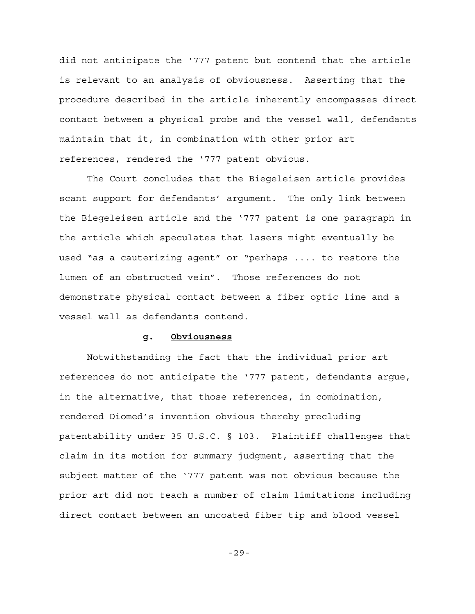did not anticipate the '777 patent but contend that the article is relevant to an analysis of obviousness. Asserting that the procedure described in the article inherently encompasses direct contact between a physical probe and the vessel wall, defendants maintain that it, in combination with other prior art references, rendered the '777 patent obvious.

The Court concludes that the Biegeleisen article provides scant support for defendants' argument. The only link between the Biegeleisen article and the '777 patent is one paragraph in the article which speculates that lasers might eventually be used "as a cauterizing agent" or "perhaps .... to restore the lumen of an obstructed vein". Those references do not demonstrate physical contact between a fiber optic line and a vessel wall as defendants contend.

## **g. Obviousness**

Notwithstanding the fact that the individual prior art references do not anticipate the '777 patent, defendants argue, in the alternative, that those references, in combination, rendered Diomed's invention obvious thereby precluding patentability under 35 U.S.C. § 103. Plaintiff challenges that claim in its motion for summary judgment, asserting that the subject matter of the '777 patent was not obvious because the prior art did not teach a number of claim limitations including direct contact between an uncoated fiber tip and blood vessel

-29-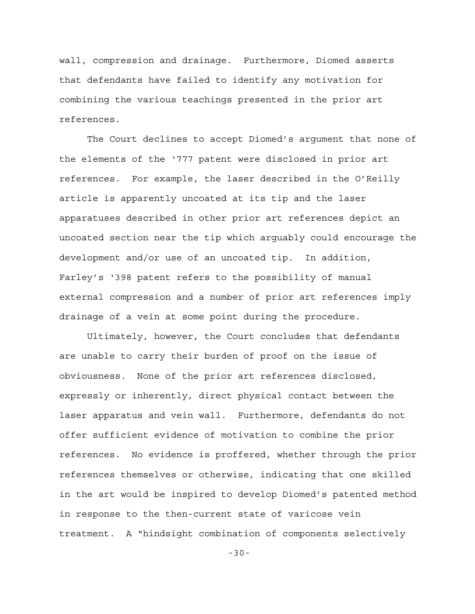wall, compression and drainage. Furthermore, Diomed asserts that defendants have failed to identify any motivation for combining the various teachings presented in the prior art references.

The Court declines to accept Diomed's argument that none of the elements of the '777 patent were disclosed in prior art references. For example, the laser described in the O'Reilly article is apparently uncoated at its tip and the laser apparatuses described in other prior art references depict an uncoated section near the tip which arguably could encourage the development and/or use of an uncoated tip. In addition, Farley's '398 patent refers to the possibility of manual external compression and a number of prior art references imply drainage of a vein at some point during the procedure.

Ultimately, however, the Court concludes that defendants are unable to carry their burden of proof on the issue of obviousness. None of the prior art references disclosed, expressly or inherently, direct physical contact between the laser apparatus and vein wall. Furthermore, defendants do not offer sufficient evidence of motivation to combine the prior references. No evidence is proffered, whether through the prior references themselves or otherwise, indicating that one skilled in the art would be inspired to develop Diomed's patented method in response to the then-current state of varicose vein treatment. A "hindsight combination of components selectively

-30-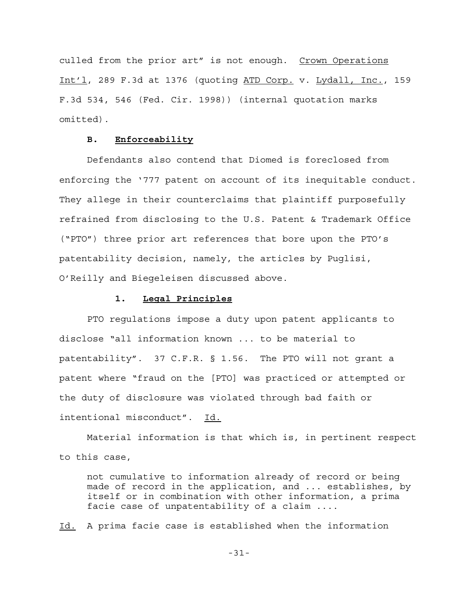culled from the prior art" is not enough. Crown Operations Int'l, 289 F.3d at 1376 (quoting ATD Corp. v. Lydall, Inc., 159 F.3d 534, 546 (Fed. Cir. 1998)) (internal quotation marks omitted).

## **B. Enforceability**

Defendants also contend that Diomed is foreclosed from enforcing the '777 patent on account of its inequitable conduct. They allege in their counterclaims that plaintiff purposefully refrained from disclosing to the U.S. Patent & Trademark Office ("PTO") three prior art references that bore upon the PTO's patentability decision, namely, the articles by Puglisi, O'Reilly and Biegeleisen discussed above.

## **1. Legal Principles**

PTO regulations impose a duty upon patent applicants to disclose "all information known ... to be material to patentability". 37 C.F.R. § 1.56. The PTO will not grant a patent where "fraud on the [PTO] was practiced or attempted or the duty of disclosure was violated through bad faith or intentional misconduct". Id.

Material information is that which is, in pertinent respect to this case,

not cumulative to information already of record or being made of record in the application, and ... establishes, by itself or in combination with other information, a prima facie case of unpatentability of a claim ....

Id. A prima facie case is established when the information

-31-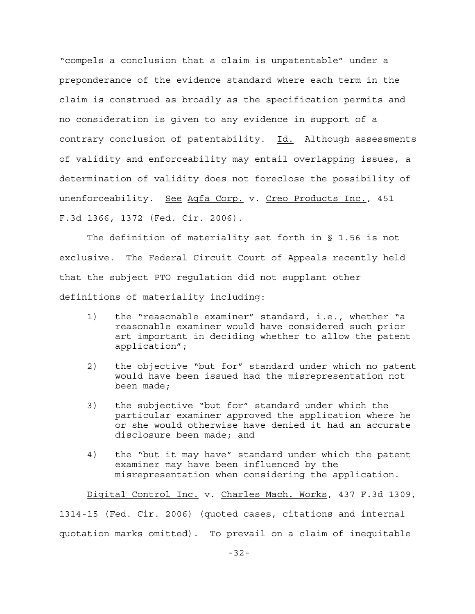"compels a conclusion that a claim is unpatentable" under a preponderance of the evidence standard where each term in the claim is construed as broadly as the specification permits and no consideration is given to any evidence in support of a contrary conclusion of patentability. Id. Although assessments of validity and enforceability may entail overlapping issues, a determination of validity does not foreclose the possibility of unenforceability. See Agfa Corp. v. Creo Products Inc., 451 F.3d 1366, 1372 (Fed. Cir. 2006).

The definition of materiality set forth in § 1.56 is not exclusive. The Federal Circuit Court of Appeals recently held that the subject PTO regulation did not supplant other definitions of materiality including:

- 1) the "reasonable examiner" standard, i.e., whether "a reasonable examiner would have considered such prior art important in deciding whether to allow the patent application";
- 2) the objective "but for" standard under which no patent would have been issued had the misrepresentation not been made;
- 3) the subjective "but for" standard under which the particular examiner approved the application where he or she would otherwise have denied it had an accurate disclosure been made; and
- 4) the "but it may have" standard under which the patent examiner may have been influenced by the misrepresentation when considering the application.

Digital Control Inc. v. Charles Mach. Works, 437 F.3d 1309, 1314-15 (Fed. Cir. 2006) (quoted cases, citations and internal quotation marks omitted). To prevail on a claim of inequitable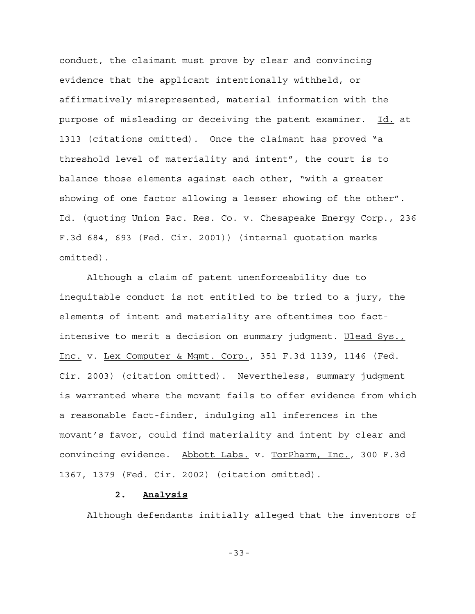conduct, the claimant must prove by clear and convincing evidence that the applicant intentionally withheld, or affirmatively misrepresented, material information with the purpose of misleading or deceiving the patent examiner. Id. at 1313 (citations omitted). Once the claimant has proved "a threshold level of materiality and intent", the court is to balance those elements against each other, "with a greater showing of one factor allowing a lesser showing of the other". Id. (quoting Union Pac. Res. Co. v. Chesapeake Energy Corp., 236 F.3d 684, 693 (Fed. Cir. 2001)) (internal quotation marks omitted).

Although a claim of patent unenforceability due to inequitable conduct is not entitled to be tried to a jury, the elements of intent and materiality are oftentimes too factintensive to merit a decision on summary judgment. Ulead Sys., Inc. v. Lex Computer & Mgmt. Corp., 351 F.3d 1139, 1146 (Fed. Cir. 2003) (citation omitted). Nevertheless, summary judgment is warranted where the movant fails to offer evidence from which a reasonable fact-finder, indulging all inferences in the movant's favor, could find materiality and intent by clear and convincing evidence. Abbott Labs. v. TorPharm, Inc., 300 F.3d 1367, 1379 (Fed. Cir. 2002) (citation omitted).

## **2. Analysis**

Although defendants initially alleged that the inventors of

-33-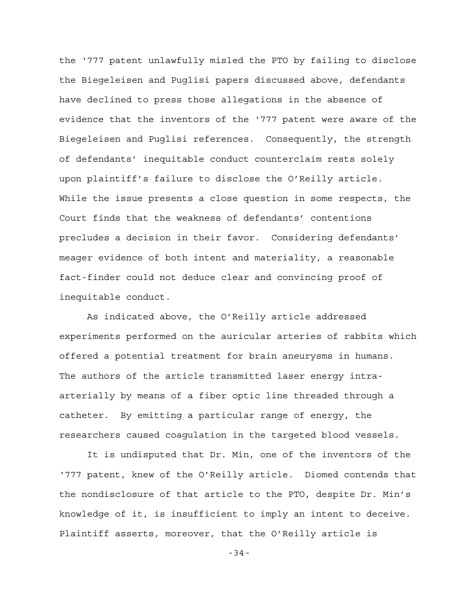the '777 patent unlawfully misled the PTO by failing to disclose the Biegeleisen and Puglisi papers discussed above, defendants have declined to press those allegations in the absence of evidence that the inventors of the '777 patent were aware of the Biegeleisen and Puglisi references. Consequently, the strength of defendants' inequitable conduct counterclaim rests solely upon plaintiff's failure to disclose the O'Reilly article. While the issue presents a close question in some respects, the Court finds that the weakness of defendants' contentions precludes a decision in their favor. Considering defendants' meager evidence of both intent and materiality, a reasonable fact-finder could not deduce clear and convincing proof of inequitable conduct.

As indicated above, the O'Reilly article addressed experiments performed on the auricular arteries of rabbits which offered a potential treatment for brain aneurysms in humans. The authors of the article transmitted laser energy intraarterially by means of a fiber optic line threaded through a catheter. By emitting a particular range of energy, the researchers caused coagulation in the targeted blood vessels.

It is undisputed that Dr. Min, one of the inventors of the '777 patent, knew of the O'Reilly article. Diomed contends that the nondisclosure of that article to the PTO, despite Dr. Min's knowledge of it, is insufficient to imply an intent to deceive. Plaintiff asserts, moreover, that the O'Reilly article is

-34-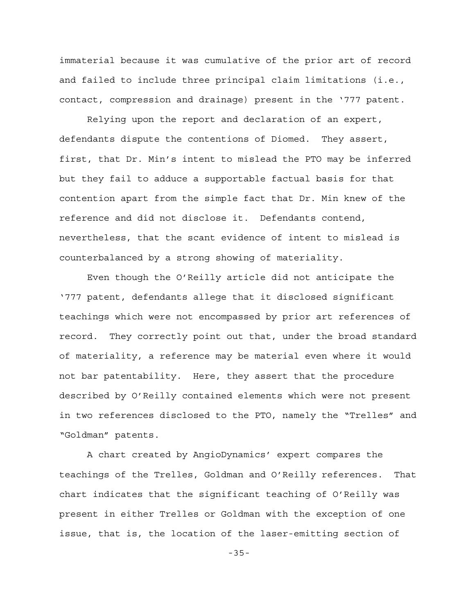immaterial because it was cumulative of the prior art of record and failed to include three principal claim limitations (i.e., contact, compression and drainage) present in the '777 patent.

Relying upon the report and declaration of an expert, defendants dispute the contentions of Diomed. They assert, first, that Dr. Min's intent to mislead the PTO may be inferred but they fail to adduce a supportable factual basis for that contention apart from the simple fact that Dr. Min knew of the reference and did not disclose it. Defendants contend, nevertheless, that the scant evidence of intent to mislead is counterbalanced by a strong showing of materiality.

Even though the O'Reilly article did not anticipate the '777 patent, defendants allege that it disclosed significant teachings which were not encompassed by prior art references of record. They correctly point out that, under the broad standard of materiality, a reference may be material even where it would not bar patentability. Here, they assert that the procedure described by O'Reilly contained elements which were not present in two references disclosed to the PTO, namely the "Trelles" and "Goldman" patents.

A chart created by AngioDynamics' expert compares the teachings of the Trelles, Goldman and O'Reilly references. That chart indicates that the significant teaching of O'Reilly was present in either Trelles or Goldman with the exception of one issue, that is, the location of the laser-emitting section of

-35-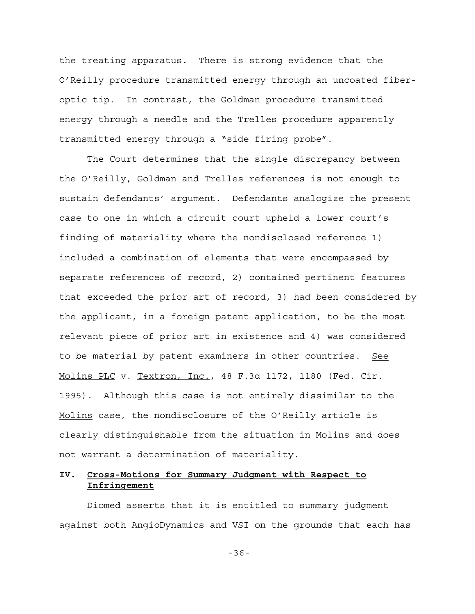the treating apparatus. There is strong evidence that the O'Reilly procedure transmitted energy through an uncoated fiberoptic tip. In contrast, the Goldman procedure transmitted energy through a needle and the Trelles procedure apparently transmitted energy through a "side firing probe".

The Court determines that the single discrepancy between the O'Reilly, Goldman and Trelles references is not enough to sustain defendants' argument. Defendants analogize the present case to one in which a circuit court upheld a lower court's finding of materiality where the nondisclosed reference 1) included a combination of elements that were encompassed by separate references of record, 2) contained pertinent features that exceeded the prior art of record, 3) had been considered by the applicant, in a foreign patent application, to be the most relevant piece of prior art in existence and 4) was considered to be material by patent examiners in other countries. See Molins PLC v. Textron, Inc., 48 F.3d 1172, 1180 (Fed. Cir. 1995). Although this case is not entirely dissimilar to the Molins case, the nondisclosure of the O'Reilly article is clearly distinguishable from the situation in Molins and does not warrant a determination of materiality.

# **IV. Cross-Motions for Summary Judgment with Respect to Infringement**

Diomed asserts that it is entitled to summary judgment against both AngioDynamics and VSI on the grounds that each has

-36-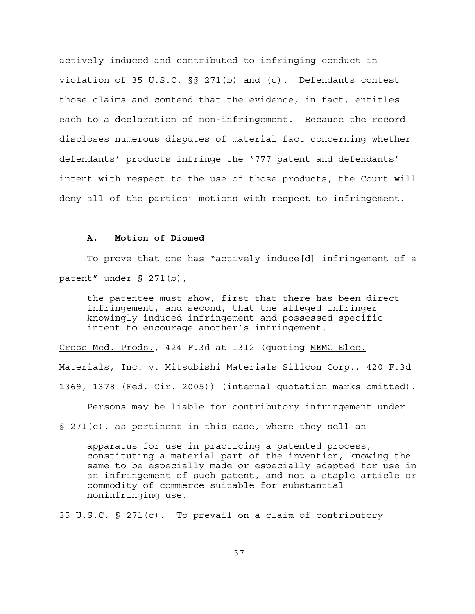actively induced and contributed to infringing conduct in violation of 35 U.S.C. §§ 271(b) and (c). Defendants contest those claims and contend that the evidence, in fact, entitles each to a declaration of non-infringement. Because the record discloses numerous disputes of material fact concerning whether defendants' products infringe the '777 patent and defendants' intent with respect to the use of those products, the Court will deny all of the parties' motions with respect to infringement.

## **A. Motion of Diomed**

To prove that one has "actively induce[d] infringement of a patent" under § 271(b),

the patentee must show, first that there has been direct infringement, and second, that the alleged infringer knowingly induced infringement and possessed specific intent to encourage another's infringement.

Cross Med. Prods., 424 F.3d at 1312 (quoting MEMC Elec.

Materials, Inc. v. Mitsubishi Materials Silicon Corp., 420 F.3d

1369, 1378 (Fed. Cir. 2005)) (internal quotation marks omitted).

Persons may be liable for contributory infringement under

§ 271(c), as pertinent in this case, where they sell an

apparatus for use in practicing a patented process, constituting a material part of the invention, knowing the same to be especially made or especially adapted for use in an infringement of such patent, and not a staple article or commodity of commerce suitable for substantial noninfringing use.

35 U.S.C. § 271(c). To prevail on a claim of contributory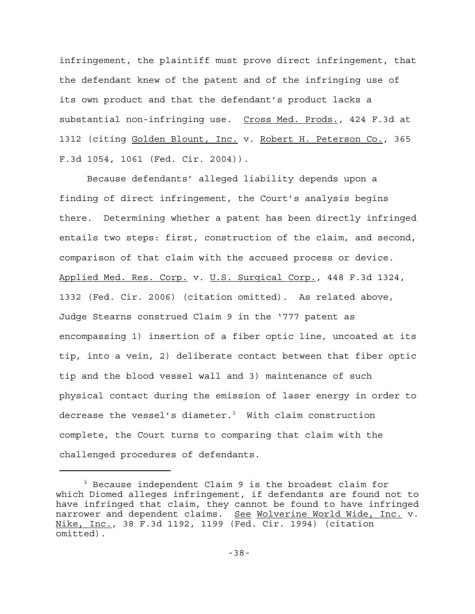infringement, the plaintiff must prove direct infringement, that the defendant knew of the patent and of the infringing use of its own product and that the defendant's product lacks a substantial non-infringing use. Cross Med. Prods., 424 F.3d at 1312 (citing Golden Blount, Inc. v. Robert H. Peterson Co., 365 F.3d 1054, 1061 (Fed. Cir. 2004)).

Because defendants' alleged liability depends upon a finding of direct infringement, the Court's analysis begins there. Determining whether a patent has been directly infringed entails two steps: first, construction of the claim, and second, comparison of that claim with the accused process or device. Applied Med. Res. Corp. v. U.S. Surgical Corp., 448 F.3d 1324, 1332 (Fed. Cir. 2006) (citation omitted). As related above, Judge Stearns construed Claim 9 in the '777 patent as encompassing 1) insertion of a fiber optic line, uncoated at its tip, into a vein, 2) deliberate contact between that fiber optic tip and the blood vessel wall and 3) maintenance of such physical contact during the emission of laser energy in order to decrease the vessel's diameter.<sup>3</sup> With claim construction complete, the Court turns to comparing that claim with the challenged procedures of defendants.

<sup>3</sup> Because independent Claim 9 is the broadest claim for which Diomed alleges infringement, if defendants are found not to have infringed that claim, they cannot be found to have infringed narrower and dependent claims. See Wolverine World Wide, Inc. v. Nike, Inc., 38 F.3d 1192, 1199 (Fed. Cir. 1994) (citation omitted).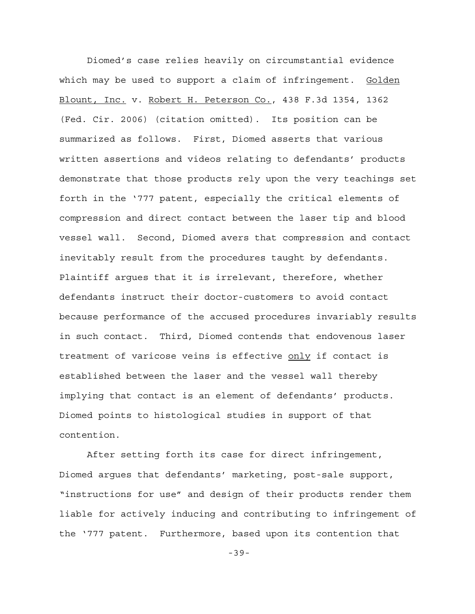Diomed's case relies heavily on circumstantial evidence which may be used to support a claim of infringement. Golden Blount, Inc. v. Robert H. Peterson Co., 438 F.3d 1354, 1362 (Fed. Cir. 2006) (citation omitted). Its position can be summarized as follows. First, Diomed asserts that various written assertions and videos relating to defendants' products demonstrate that those products rely upon the very teachings set forth in the '777 patent, especially the critical elements of compression and direct contact between the laser tip and blood vessel wall. Second, Diomed avers that compression and contact inevitably result from the procedures taught by defendants. Plaintiff argues that it is irrelevant, therefore, whether defendants instruct their doctor-customers to avoid contact because performance of the accused procedures invariably results in such contact. Third, Diomed contends that endovenous laser treatment of varicose veins is effective only if contact is established between the laser and the vessel wall thereby implying that contact is an element of defendants' products. Diomed points to histological studies in support of that contention.

After setting forth its case for direct infringement, Diomed argues that defendants' marketing, post-sale support, "instructions for use" and design of their products render them liable for actively inducing and contributing to infringement of the '777 patent. Furthermore, based upon its contention that

-39-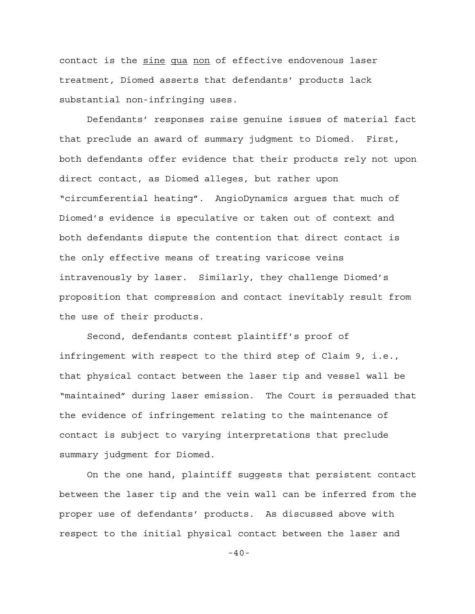contact is the sine qua non of effective endovenous laser treatment, Diomed asserts that defendants' products lack substantial non-infringing uses.

Defendants' responses raise genuine issues of material fact that preclude an award of summary judgment to Diomed. First, both defendants offer evidence that their products rely not upon direct contact, as Diomed alleges, but rather upon "circumferential heating". AngioDynamics argues that much of Diomed's evidence is speculative or taken out of context and both defendants dispute the contention that direct contact is the only effective means of treating varicose veins intravenously by laser. Similarly, they challenge Diomed's proposition that compression and contact inevitably result from the use of their products.

Second, defendants contest plaintiff's proof of infringement with respect to the third step of Claim 9, i.e., that physical contact between the laser tip and vessel wall be "maintained" during laser emission. The Court is persuaded that the evidence of infringement relating to the maintenance of contact is subject to varying interpretations that preclude summary judgment for Diomed.

On the one hand, plaintiff suggests that persistent contact between the laser tip and the vein wall can be inferred from the proper use of defendants' products. As discussed above with respect to the initial physical contact between the laser and

-40-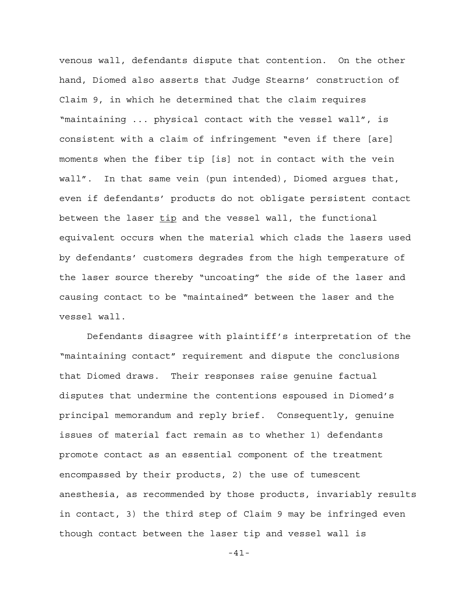venous wall, defendants dispute that contention. On the other hand, Diomed also asserts that Judge Stearns' construction of Claim 9, in which he determined that the claim requires "maintaining ... physical contact with the vessel wall", is consistent with a claim of infringement "even if there [are] moments when the fiber tip [is] not in contact with the vein wall". In that same vein (pun intended), Diomed argues that, even if defendants' products do not obligate persistent contact between the laser tip and the vessel wall, the functional equivalent occurs when the material which clads the lasers used by defendants' customers degrades from the high temperature of the laser source thereby "uncoating" the side of the laser and causing contact to be "maintained" between the laser and the vessel wall.

Defendants disagree with plaintiff's interpretation of the "maintaining contact" requirement and dispute the conclusions that Diomed draws. Their responses raise genuine factual disputes that undermine the contentions espoused in Diomed's principal memorandum and reply brief. Consequently, genuine issues of material fact remain as to whether 1) defendants promote contact as an essential component of the treatment encompassed by their products, 2) the use of tumescent anesthesia, as recommended by those products, invariably results in contact, 3) the third step of Claim 9 may be infringed even though contact between the laser tip and vessel wall is

-41-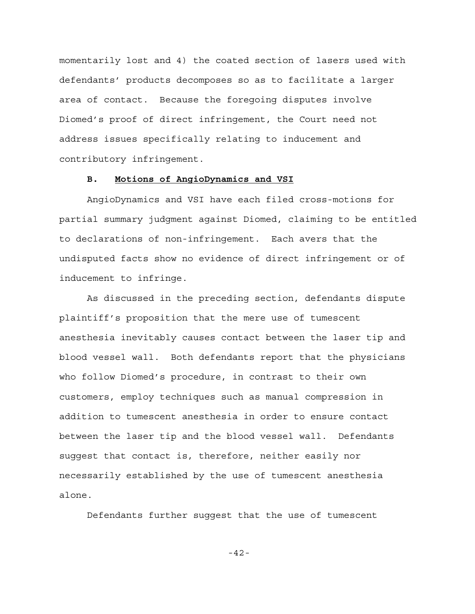momentarily lost and 4) the coated section of lasers used with defendants' products decomposes so as to facilitate a larger area of contact. Because the foregoing disputes involve Diomed's proof of direct infringement, the Court need not address issues specifically relating to inducement and contributory infringement.

## **B. Motions of AngioDynamics and VSI**

AngioDynamics and VSI have each filed cross-motions for partial summary judgment against Diomed, claiming to be entitled to declarations of non-infringement. Each avers that the undisputed facts show no evidence of direct infringement or of inducement to infringe.

As discussed in the preceding section, defendants dispute plaintiff's proposition that the mere use of tumescent anesthesia inevitably causes contact between the laser tip and blood vessel wall. Both defendants report that the physicians who follow Diomed's procedure, in contrast to their own customers, employ techniques such as manual compression in addition to tumescent anesthesia in order to ensure contact between the laser tip and the blood vessel wall. Defendants suggest that contact is, therefore, neither easily nor necessarily established by the use of tumescent anesthesia alone.

Defendants further suggest that the use of tumescent

-42-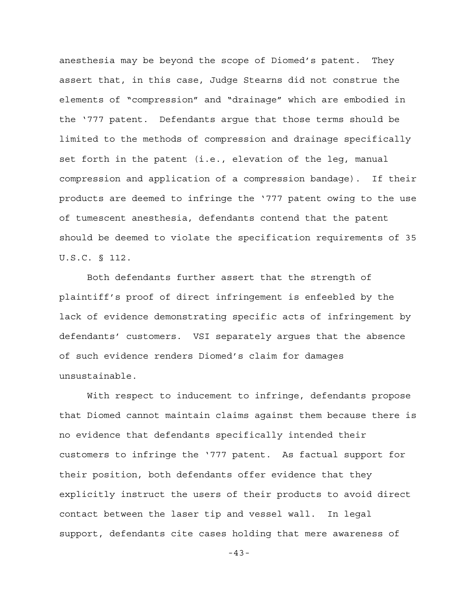anesthesia may be beyond the scope of Diomed's patent. They assert that, in this case, Judge Stearns did not construe the elements of "compression" and "drainage" which are embodied in the '777 patent. Defendants argue that those terms should be limited to the methods of compression and drainage specifically set forth in the patent (i.e., elevation of the leg, manual compression and application of a compression bandage). If their products are deemed to infringe the '777 patent owing to the use of tumescent anesthesia, defendants contend that the patent should be deemed to violate the specification requirements of 35 U.S.C. § 112.

Both defendants further assert that the strength of plaintiff's proof of direct infringement is enfeebled by the lack of evidence demonstrating specific acts of infringement by defendants' customers. VSI separately argues that the absence of such evidence renders Diomed's claim for damages unsustainable.

With respect to inducement to infringe, defendants propose that Diomed cannot maintain claims against them because there is no evidence that defendants specifically intended their customers to infringe the '777 patent. As factual support for their position, both defendants offer evidence that they explicitly instruct the users of their products to avoid direct contact between the laser tip and vessel wall. In legal support, defendants cite cases holding that mere awareness of

-43-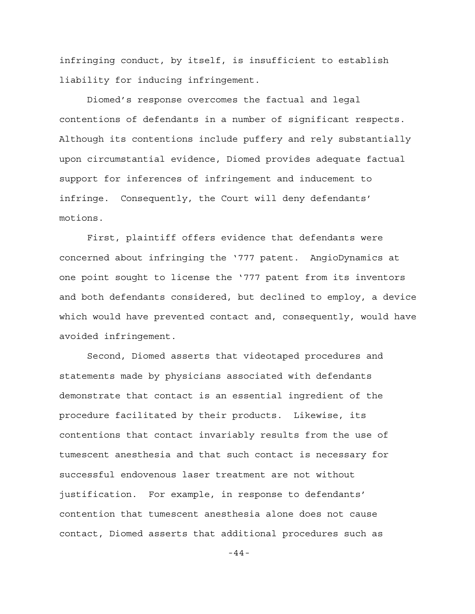infringing conduct, by itself, is insufficient to establish liability for inducing infringement.

Diomed's response overcomes the factual and legal contentions of defendants in a number of significant respects. Although its contentions include puffery and rely substantially upon circumstantial evidence, Diomed provides adequate factual support for inferences of infringement and inducement to infringe. Consequently, the Court will deny defendants' motions.

First, plaintiff offers evidence that defendants were concerned about infringing the '777 patent. AngioDynamics at one point sought to license the '777 patent from its inventors and both defendants considered, but declined to employ, a device which would have prevented contact and, consequently, would have avoided infringement.

Second, Diomed asserts that videotaped procedures and statements made by physicians associated with defendants demonstrate that contact is an essential ingredient of the procedure facilitated by their products. Likewise, its contentions that contact invariably results from the use of tumescent anesthesia and that such contact is necessary for successful endovenous laser treatment are not without justification. For example, in response to defendants' contention that tumescent anesthesia alone does not cause contact, Diomed asserts that additional procedures such as

-44-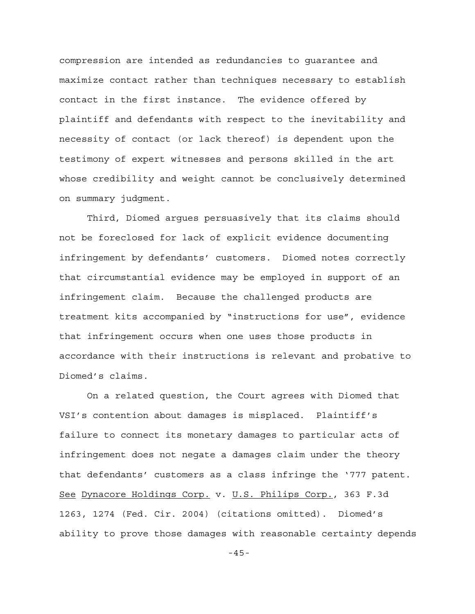compression are intended as redundancies to guarantee and maximize contact rather than techniques necessary to establish contact in the first instance. The evidence offered by plaintiff and defendants with respect to the inevitability and necessity of contact (or lack thereof) is dependent upon the testimony of expert witnesses and persons skilled in the art whose credibility and weight cannot be conclusively determined on summary judgment.

 Third, Diomed argues persuasively that its claims should not be foreclosed for lack of explicit evidence documenting infringement by defendants' customers. Diomed notes correctly that circumstantial evidence may be employed in support of an infringement claim. Because the challenged products are treatment kits accompanied by "instructions for use", evidence that infringement occurs when one uses those products in accordance with their instructions is relevant and probative to Diomed's claims.

On a related question, the Court agrees with Diomed that VSI's contention about damages is misplaced. Plaintiff's failure to connect its monetary damages to particular acts of infringement does not negate a damages claim under the theory that defendants' customers as a class infringe the '777 patent. See Dynacore Holdings Corp. v. U.S. Philips Corp., 363 F.3d 1263, 1274 (Fed. Cir. 2004) (citations omitted). Diomed's ability to prove those damages with reasonable certainty depends

-45-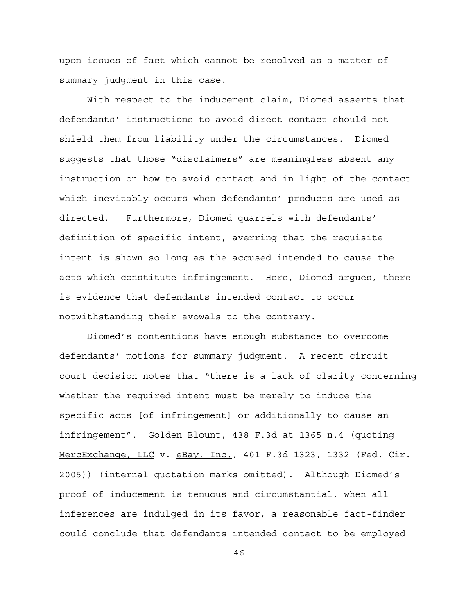upon issues of fact which cannot be resolved as a matter of summary judgment in this case.

With respect to the inducement claim, Diomed asserts that defendants' instructions to avoid direct contact should not shield them from liability under the circumstances. Diomed suggests that those "disclaimers" are meaningless absent any instruction on how to avoid contact and in light of the contact which inevitably occurs when defendants' products are used as directed. Furthermore, Diomed quarrels with defendants' definition of specific intent, averring that the requisite intent is shown so long as the accused intended to cause the acts which constitute infringement. Here, Diomed argues, there is evidence that defendants intended contact to occur notwithstanding their avowals to the contrary.

Diomed's contentions have enough substance to overcome defendants' motions for summary judgment. A recent circuit court decision notes that "there is a lack of clarity concerning whether the required intent must be merely to induce the specific acts [of infringement] or additionally to cause an infringement". Golden Blount, 438 F.3d at 1365 n.4 (quoting MercExchange, LLC v. eBay, Inc., 401 F.3d 1323, 1332 (Fed. Cir. 2005)) (internal quotation marks omitted). Although Diomed's proof of inducement is tenuous and circumstantial, when all inferences are indulged in its favor, a reasonable fact-finder could conclude that defendants intended contact to be employed

-46-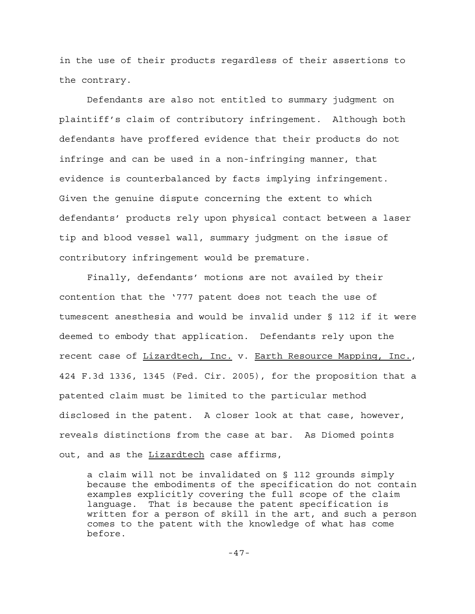in the use of their products regardless of their assertions to the contrary.

Defendants are also not entitled to summary judgment on plaintiff's claim of contributory infringement. Although both defendants have proffered evidence that their products do not infringe and can be used in a non-infringing manner, that evidence is counterbalanced by facts implying infringement. Given the genuine dispute concerning the extent to which defendants' products rely upon physical contact between a laser tip and blood vessel wall, summary judgment on the issue of contributory infringement would be premature.

Finally, defendants' motions are not availed by their contention that the '777 patent does not teach the use of tumescent anesthesia and would be invalid under § 112 if it were deemed to embody that application. Defendants rely upon the recent case of Lizardtech, Inc. v. Earth Resource Mapping, Inc., 424 F.3d 1336, 1345 (Fed. Cir. 2005), for the proposition that a patented claim must be limited to the particular method disclosed in the patent. A closer look at that case, however, reveals distinctions from the case at bar. As Diomed points out, and as the Lizardtech case affirms,

a claim will not be invalidated on § 112 grounds simply because the embodiments of the specification do not contain examples explicitly covering the full scope of the claim language. That is because the patent specification is written for a person of skill in the art, and such a person comes to the patent with the knowledge of what has come before.

-47-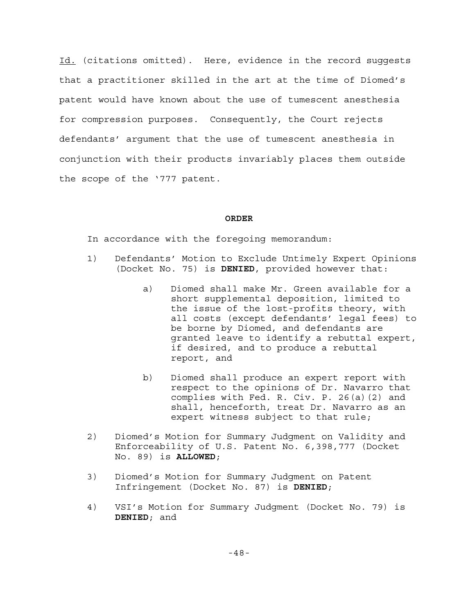Id. (citations omitted). Here, evidence in the record suggests that a practitioner skilled in the art at the time of Diomed's patent would have known about the use of tumescent anesthesia for compression purposes. Consequently, the Court rejects defendants' argument that the use of tumescent anesthesia in conjunction with their products invariably places them outside the scope of the '777 patent.

#### **ORDER**

In accordance with the foregoing memorandum:

- 1) Defendants' Motion to Exclude Untimely Expert Opinions (Docket No. 75) is **DENIED**, provided however that:
	- a) Diomed shall make Mr. Green available for a short supplemental deposition, limited to the issue of the lost-profits theory, with all costs (except defendants' legal fees) to be borne by Diomed, and defendants are granted leave to identify a rebuttal expert, if desired, and to produce a rebuttal report, and
	- b) Diomed shall produce an expert report with respect to the opinions of Dr. Navarro that complies with Fed. R. Civ. P. 26(a)(2) and shall, henceforth, treat Dr. Navarro as an expert witness subject to that rule;
- 2) Diomed's Motion for Summary Judgment on Validity and Enforceability of U.S. Patent No. 6,398,777 (Docket No. 89) is **ALLOWED**;
- 3) Diomed's Motion for Summary Judgment on Patent Infringement (Docket No. 87) is **DENIED**;
- 4) VSI's Motion for Summary Judgment (Docket No. 79) is **DENIED**; and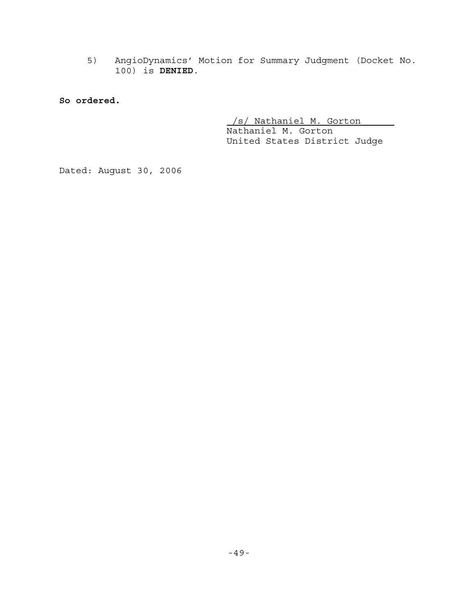5) AngioDynamics' Motion for Summary Judgment (Docket No. 100) is **DENIED**.

**So ordered.**

 /s/ Nathaniel M. Gorton Nathaniel M. Gorton United States District Judge

Dated: August 30, 2006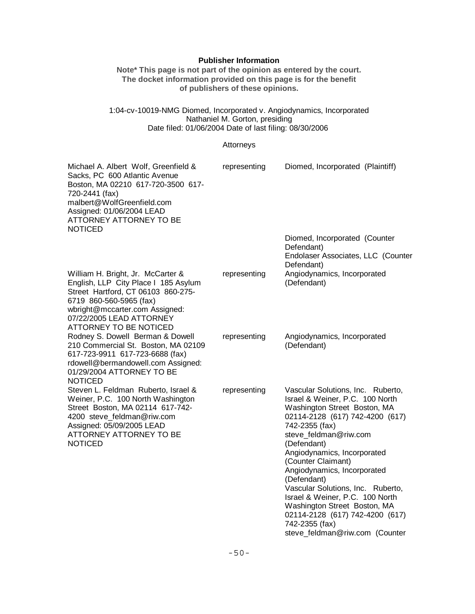# **Publisher Information**

**Note\* This page is not part of the opinion as entered by the court. The docket information provided on this page is for the benefit of publishers of these opinions.**

## 1:04-cv-10019-NMG Diomed, Incorporated v. Angiodynamics, Incorporated Nathaniel M. Gorton, presiding Date filed: 01/06/2004 Date of last filing: 08/30/2006

# Attorneys

| Michael A. Albert Wolf, Greenfield &<br>Sacks, PC 600 Atlantic Avenue<br>Boston, MA 02210 617-720-3500 617-<br>720-2441 (fax)<br>malbert@WolfGreenfield.com<br>Assigned: 01/06/2004 LEAD<br>ATTORNEY ATTORNEY TO BE<br><b>NOTICED</b> | representing | Diomed, Incorporated (Plaintiff)                                                                                                                                                                                                                                                                                                                                                                                                                                                                    |
|---------------------------------------------------------------------------------------------------------------------------------------------------------------------------------------------------------------------------------------|--------------|-----------------------------------------------------------------------------------------------------------------------------------------------------------------------------------------------------------------------------------------------------------------------------------------------------------------------------------------------------------------------------------------------------------------------------------------------------------------------------------------------------|
|                                                                                                                                                                                                                                       |              | Diomed, Incorporated (Counter<br>Defendant)<br>Endolaser Associates, LLC (Counter<br>Defendant)                                                                                                                                                                                                                                                                                                                                                                                                     |
| William H. Bright, Jr. McCarter &<br>English, LLP City Place I 185 Asylum<br>Street Hartford, CT 06103 860-275-<br>6719 860-560-5965 (fax)<br>wbright@mccarter.com Assigned:<br>07/22/2005 LEAD ATTORNEY<br>ATTORNEY TO BE NOTICED    | representing | Angiodynamics, Incorporated<br>(Defendant)                                                                                                                                                                                                                                                                                                                                                                                                                                                          |
| Rodney S. Dowell Berman & Dowell<br>210 Commercial St. Boston, MA 02109<br>617-723-9911 617-723-6688 (fax)<br>rdowell@bermandowell.com Assigned:<br>01/29/2004 ATTORNEY TO BE<br><b>NOTICED</b>                                       | representing | Angiodynamics, Incorporated<br>(Defendant)                                                                                                                                                                                                                                                                                                                                                                                                                                                          |
| Steven L. Feldman Ruberto, Israel &<br>Weiner, P.C. 100 North Washington<br>Street Boston, MA 02114 617-742-<br>4200 steve_feldman@riw.com<br>Assigned: 05/09/2005 LEAD<br>ATTORNEY ATTORNEY TO BE<br><b>NOTICED</b>                  | representing | Vascular Solutions, Inc. Ruberto,<br>Israel & Weiner, P.C. 100 North<br>Washington Street Boston, MA<br>02114-2128 (617) 742-4200 (617)<br>742-2355 (fax)<br>steve_feldman@riw.com<br>(Defendant)<br>Angiodynamics, Incorporated<br>(Counter Claimant)<br>Angiodynamics, Incorporated<br>(Defendant)<br>Vascular Solutions, Inc. Ruberto,<br>Israel & Weiner, P.C. 100 North<br>Washington Street Boston, MA<br>02114-2128 (617) 742-4200 (617)<br>742-2355 (fax)<br>steve_feldman@riw.com (Counter |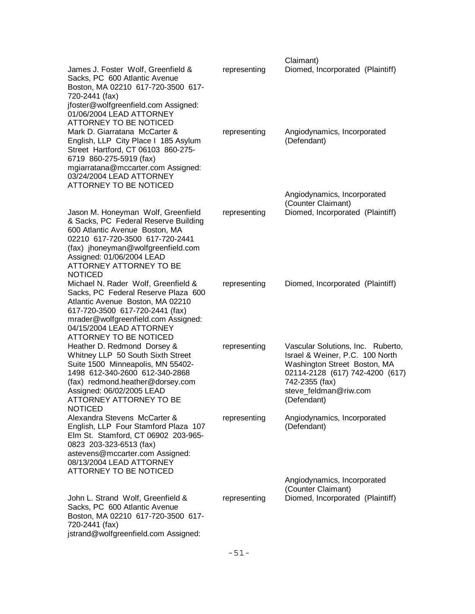|                                                                                                                                                                                                                                                                                          |              | Claimant)                                                                                                                                                                                         |
|------------------------------------------------------------------------------------------------------------------------------------------------------------------------------------------------------------------------------------------------------------------------------------------|--------------|---------------------------------------------------------------------------------------------------------------------------------------------------------------------------------------------------|
| James J. Foster Wolf, Greenfield &<br>Sacks, PC 600 Atlantic Avenue<br>Boston, MA 02210 617-720-3500 617-<br>720-2441 (fax)<br>jfoster@wolfgreenfield.com Assigned:                                                                                                                      | representing | Diomed, Incorporated (Plaintiff)                                                                                                                                                                  |
| 01/06/2004 LEAD ATTORNEY<br>ATTORNEY TO BE NOTICED<br>Mark D. Giarratana McCarter &<br>English, LLP City Place I 185 Asylum<br>Street Hartford, CT 06103 860-275-<br>6719 860-275-5919 (fax)<br>mgiarratana@mccarter.com Assigned:<br>03/24/2004 LEAD ATTORNEY<br>ATTORNEY TO BE NOTICED | representing | Angiodynamics, Incorporated<br>(Defendant)                                                                                                                                                        |
|                                                                                                                                                                                                                                                                                          |              | Angiodynamics, Incorporated<br>(Counter Claimant)                                                                                                                                                 |
| Jason M. Honeyman Wolf, Greenfield<br>& Sacks, PC Federal Reserve Building<br>600 Atlantic Avenue Boston, MA<br>02210 617-720-3500 617-720-2441<br>(fax) jhoneyman@wolfgreenfield.com<br>Assigned: 01/06/2004 LEAD<br>ATTORNEY ATTORNEY TO BE<br><b>NOTICED</b>                          | representing | Diomed, Incorporated (Plaintiff)                                                                                                                                                                  |
| Michael N. Rader Wolf, Greenfield &<br>Sacks, PC Federal Reserve Plaza 600<br>Atlantic Avenue Boston, MA 02210<br>617-720-3500 617-720-2441 (fax)<br>mrader@wolfgreenfield.com Assigned:<br>04/15/2004 LEAD ATTORNEY<br>ATTORNEY TO BE NOTICED                                           | representing | Diomed, Incorporated (Plaintiff)                                                                                                                                                                  |
| Heather D. Redmond Dorsey &<br>Whitney LLP 50 South Sixth Street<br>Suite 1500 Minneapolis, MN 55402-<br>1498 612-340-2600 612-340-2868<br>(fax) redmond.heather@dorsey.com<br>Assigned: 06/02/2005 LEAD<br>ATTORNEY ATTORNEY TO BE<br><b>NOTICED</b>                                    | representing | Vascular Solutions, Inc. Ruberto,<br>Israel & Weiner, P.C. 100 North<br>Washington Street Boston, MA<br>02114-2128 (617) 742-4200 (617)<br>742-2355 (fax)<br>steve_feldman@riw.com<br>(Defendant) |
| Alexandra Stevens McCarter &<br>English, LLP Four Stamford Plaza 107<br>Elm St. Stamford, CT 06902 203-965-<br>0823 203-323-6513 (fax)<br>astevens@mccarter.com Assigned:<br>08/13/2004 LEAD ATTORNEY<br>ATTORNEY TO BE NOTICED                                                          | representing | Angiodynamics, Incorporated<br>(Defendant)                                                                                                                                                        |
| John L. Strand Wolf, Greenfield &<br>Sacks, PC 600 Atlantic Avenue<br>Boston, MA 02210 617-720-3500 617-<br>720-2441 (fax)<br>jstrand@wolfgreenfield.com Assigned:                                                                                                                       | representing | Angiodynamics, Incorporated<br>(Counter Claimant)<br>Diomed, Incorporated (Plaintiff)                                                                                                             |